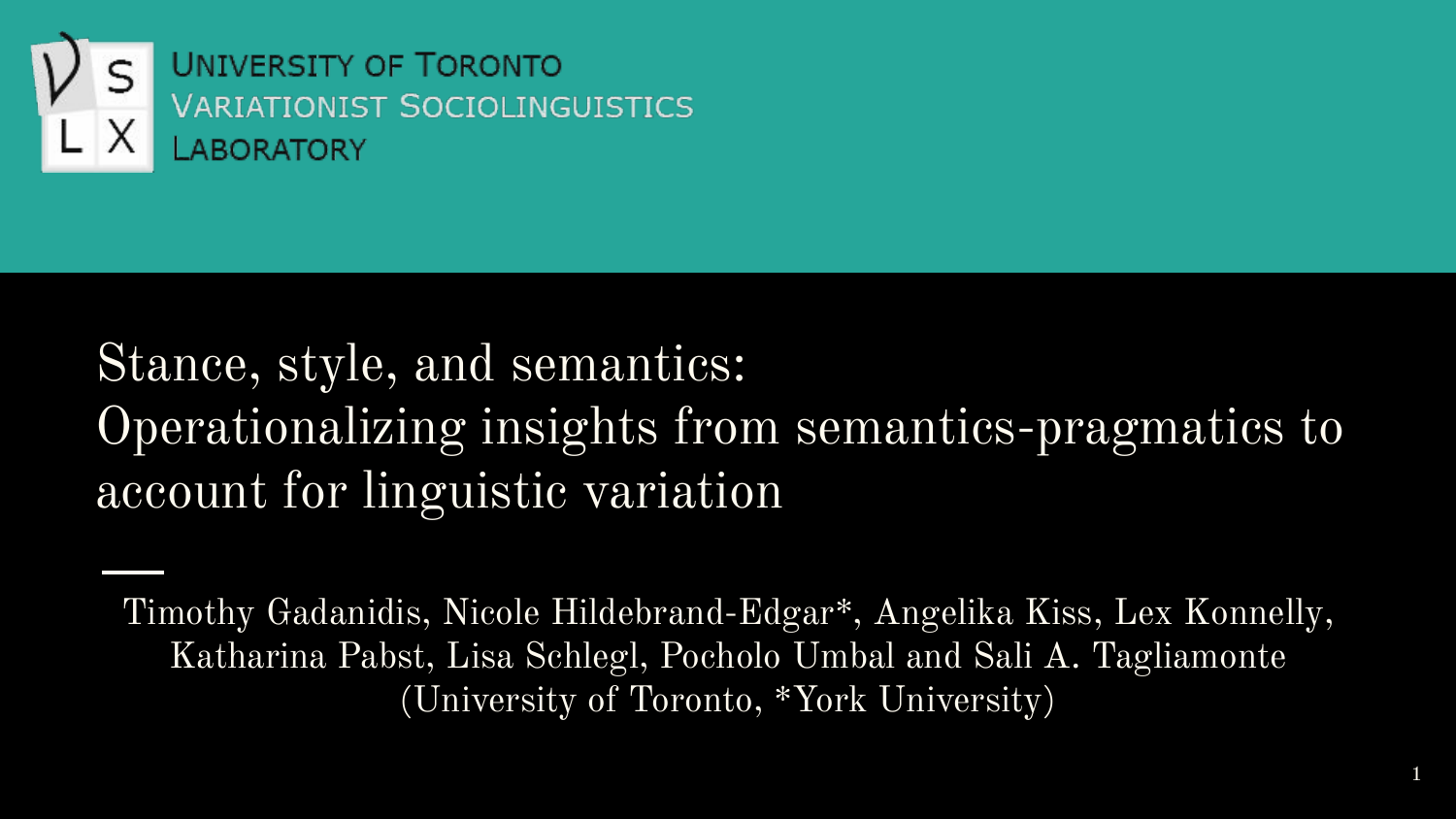

#### Stance, style, and semantics: Operationalizing insights from semantics-pragmatics to account for linguistic variation

Timothy Gadanidis, Nicole Hildebrand-Edgar\*, Angelika Kiss, Lex Konnelly, Katharina Pabst, Lisa Schlegl, Pocholo Umbal and Sali A. Tagliamonte (University of Toronto, \*York University)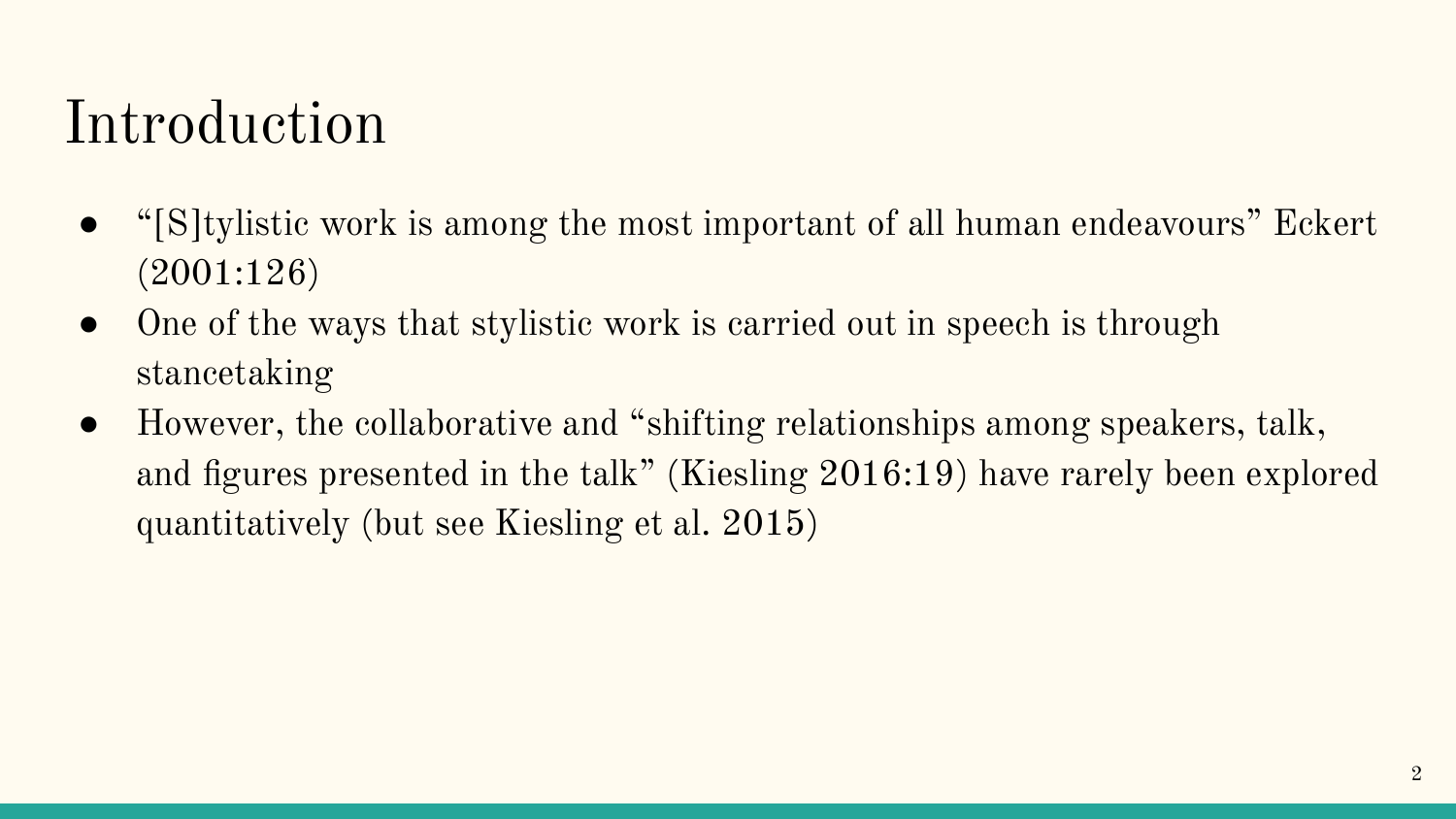#### Introduction

- "[S]tylistic work is among the most important of all human endeavours" Eckert (2001:126)
- One of the ways that stylistic work is carried out in speech is through stancetaking
- However, the collaborative and "shifting relationships among speakers, talk, and figures presented in the talk" (Kiesling 2016:19) have rarely been explored quantitatively (but see Kiesling et al. 2015)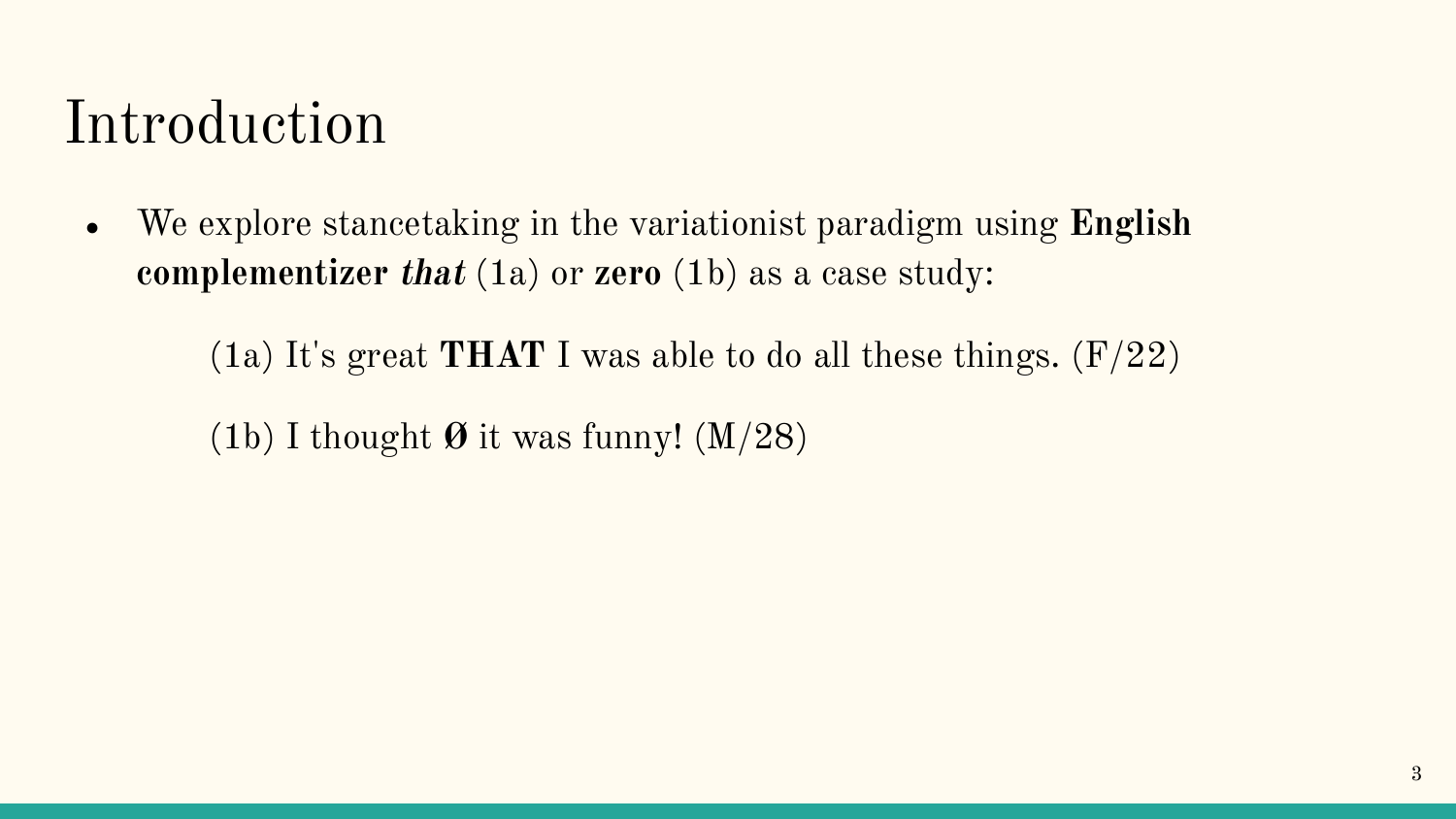#### Introduction

● We explore stancetaking in the variationist paradigm using **English complementizer that** (1a) or **zero** (1b) as a case study:

(1a) It's great **THAT** I was able to do all these things. (F/22)

(1b) I thought **Ø** it was funny! (M/28)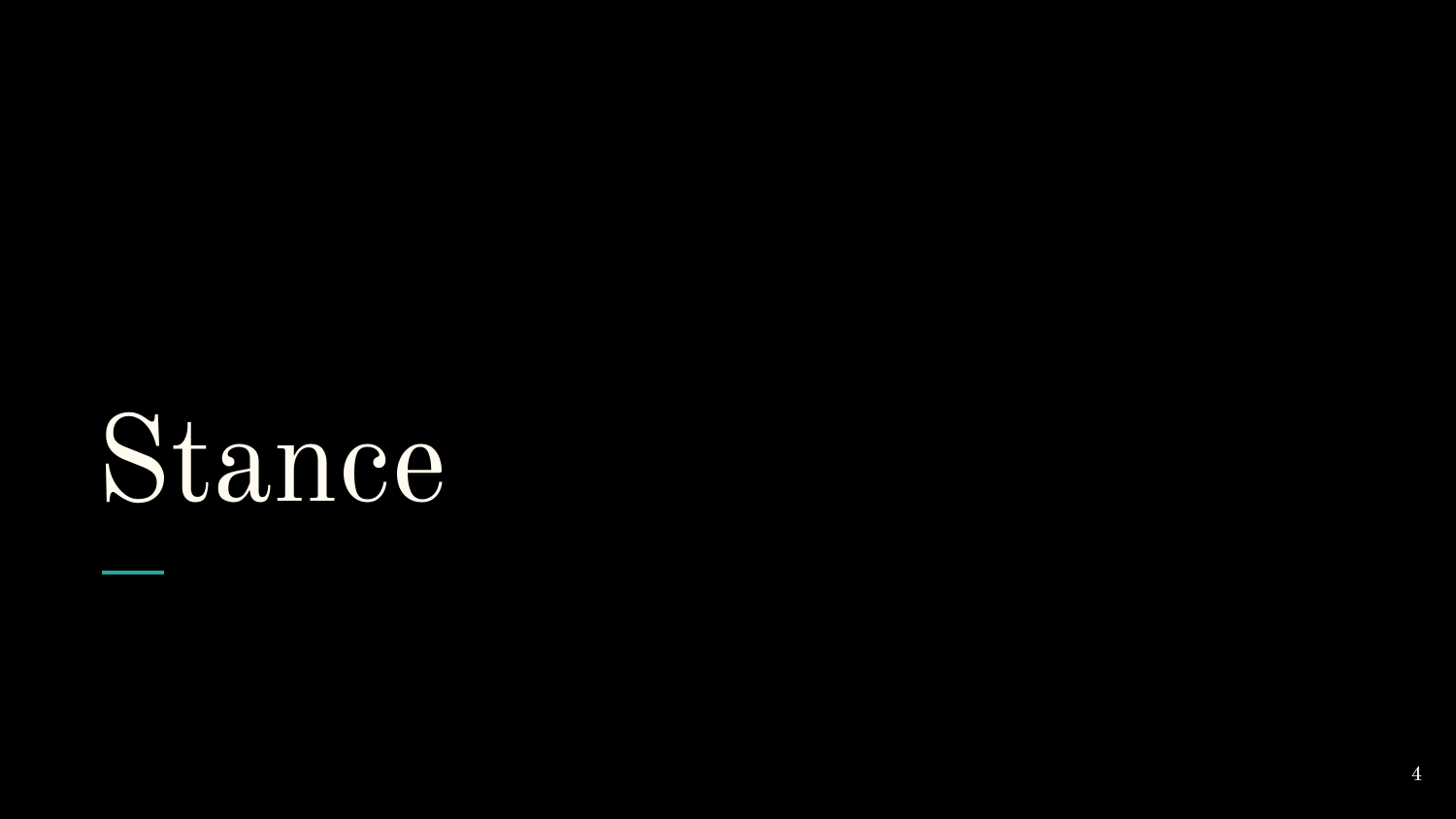## Stance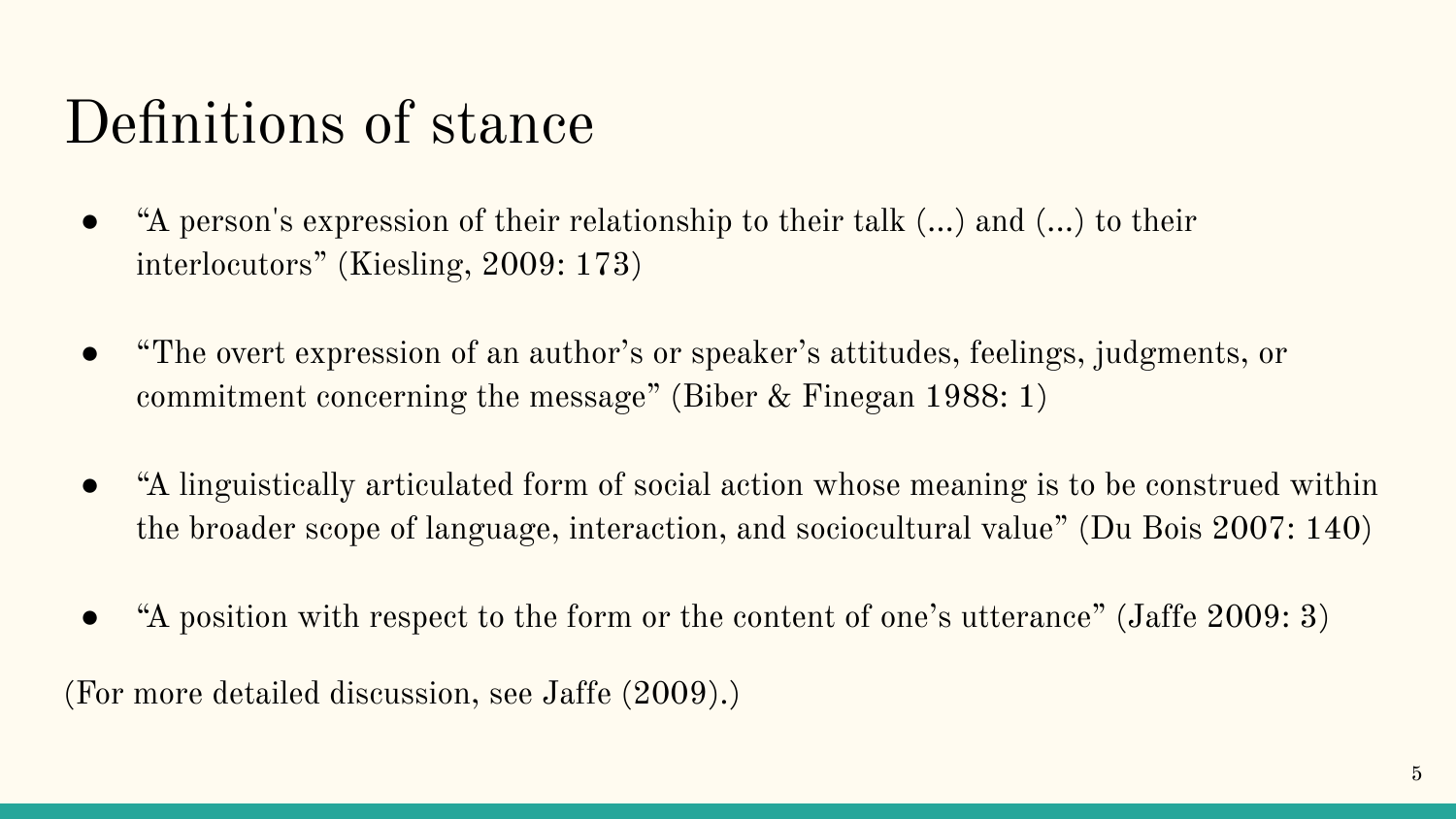#### Definitions of stance

- "A person's expression of their relationship to their talk (...) and (...) to their interlocutors" (Kiesling, 2009: 173)
- "The overt expression of an author's or speaker's attitudes, feelings, judgments, or commitment concerning the message" (Biber & Finegan 1988: 1)
- "A linguistically articulated form of social action whose meaning is to be construed within the broader scope of language, interaction, and sociocultural value" (Du Bois 2007: 140)
- "A position with respect to the form or the content of one's utterance" (Jaffe 2009: 3)

(For more detailed discussion, see Jaffe (2009).)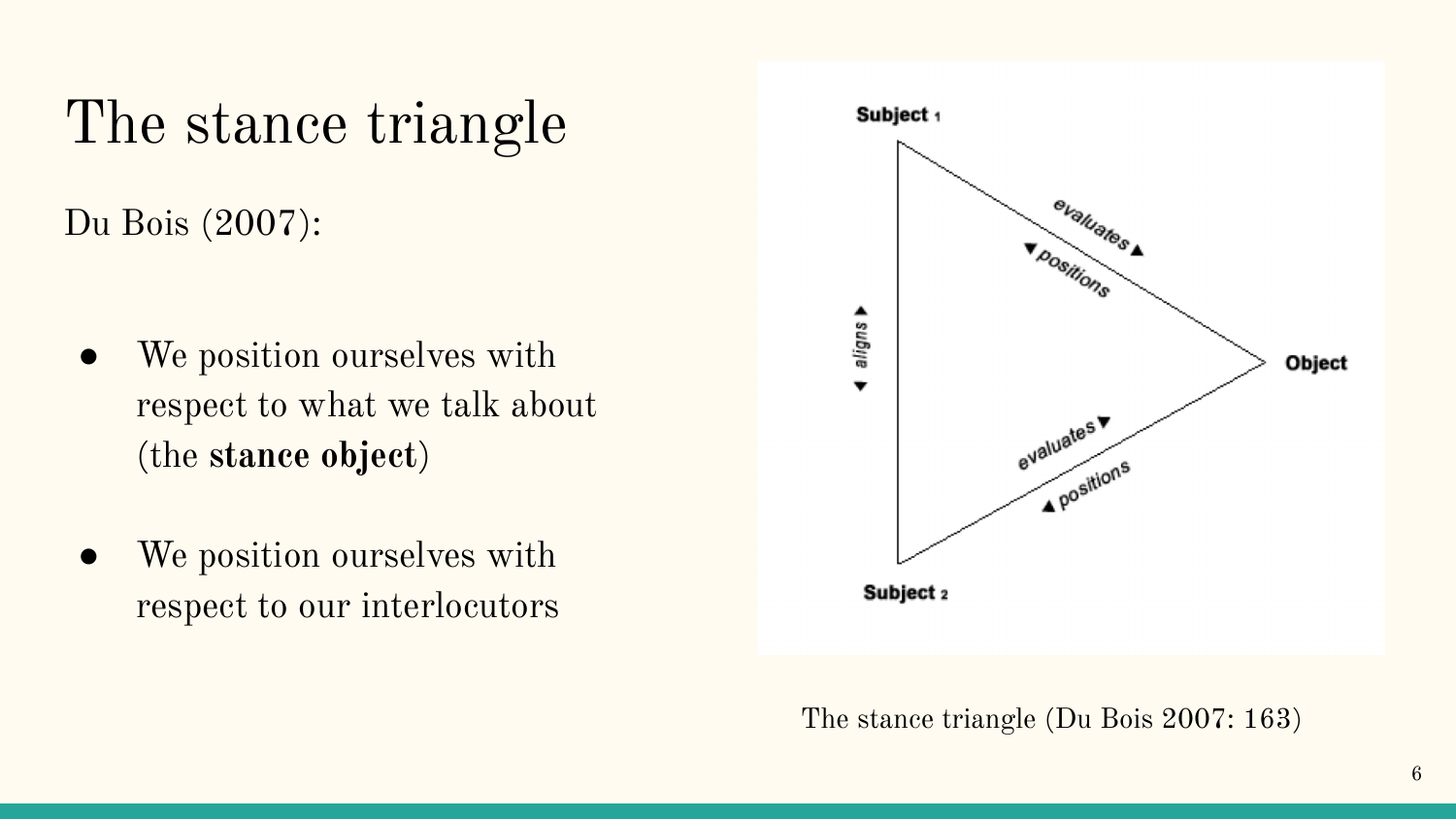#### The stance triangle

Du Bois (2007):

- We position ourselves with respect to what we talk about (the **stance object**)
- We position ourselves with respect to our interlocutors



The stance triangle (Du Bois 2007: 163)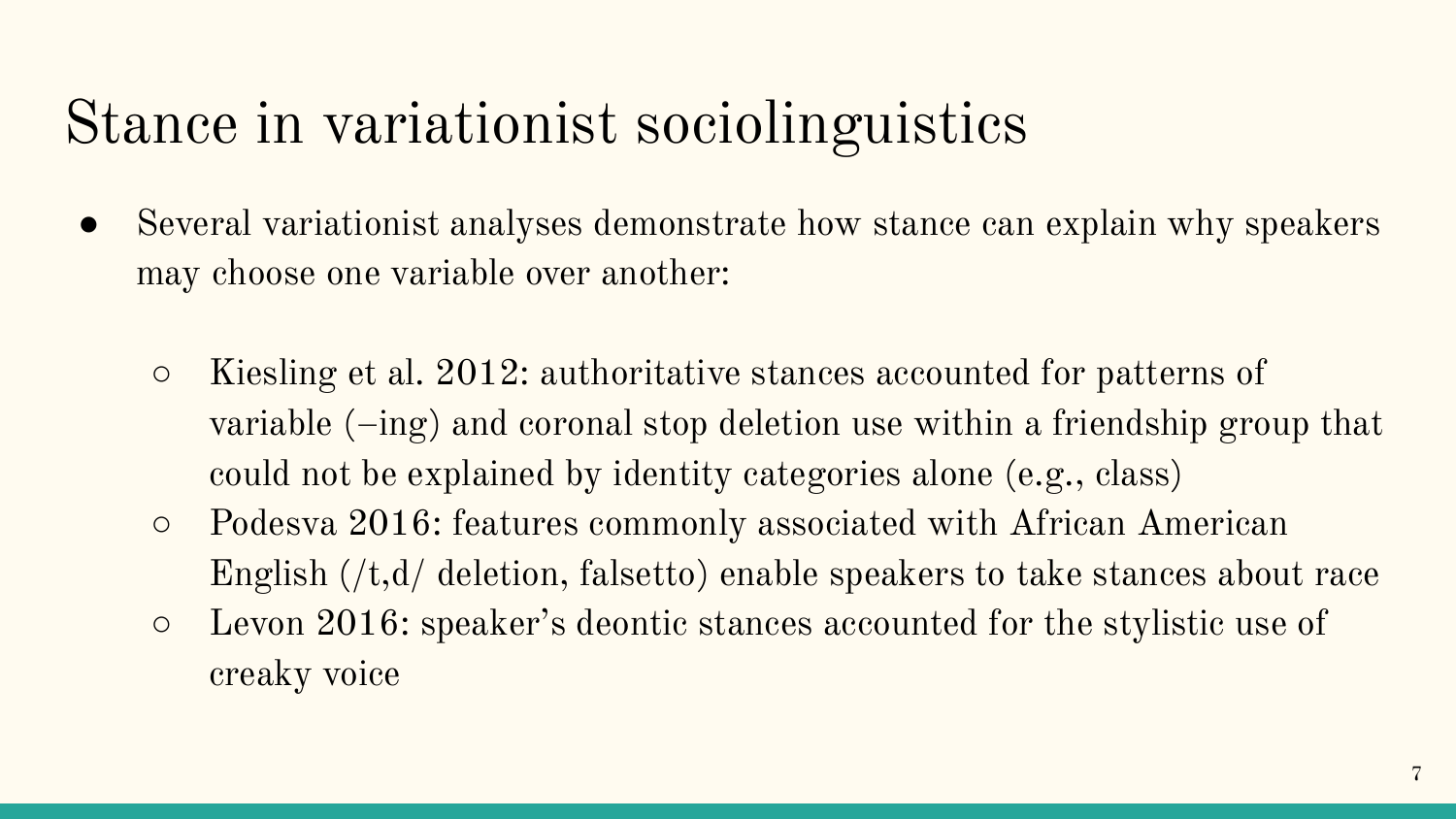#### Stance in variationist sociolinguistics

- Several variationist analyses demonstrate how stance can explain why speakers may choose one variable over another:
	- Kiesling et al. 2012: authoritative stances accounted for patterns of variable (–ing) and coronal stop deletion use within a friendship group that could not be explained by identity categories alone (e.g., class)
	- Podesva 2016: features commonly associated with African American English (/t,d/ deletion, falsetto) enable speakers to take stances about race
	- Levon 2016: speaker's deontic stances accounted for the stylistic use of creaky voice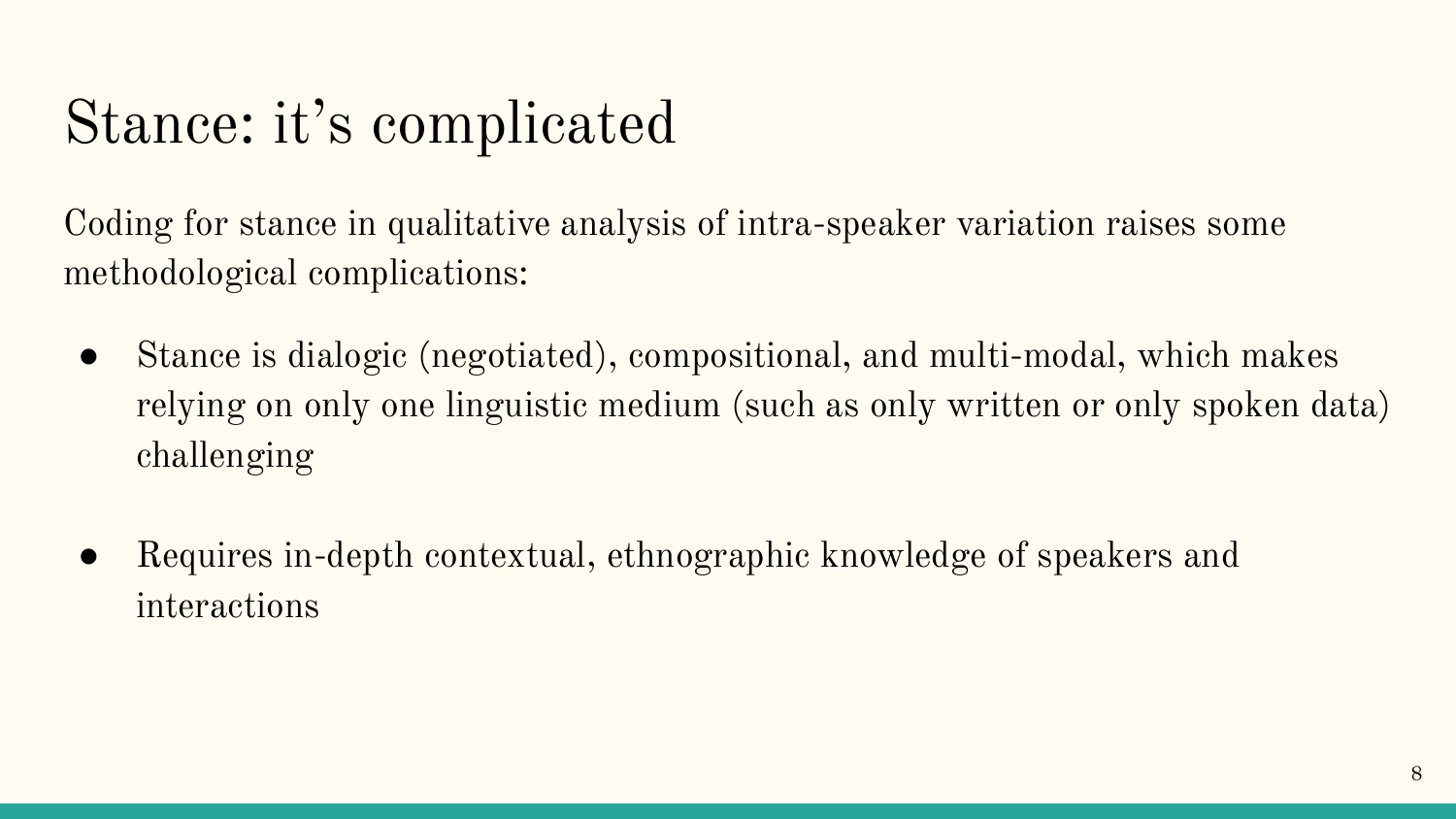#### Stance: it's complicated

Coding for stance in qualitative analysis of intra-speaker variation raises some methodological complications:

- Stance is dialogic (negotiated), compositional, and multi-modal, which makes relying on only one linguistic medium (such as only written or only spoken data) challenging
- Requires in-depth contextual, ethnographic knowledge of speakers and interactions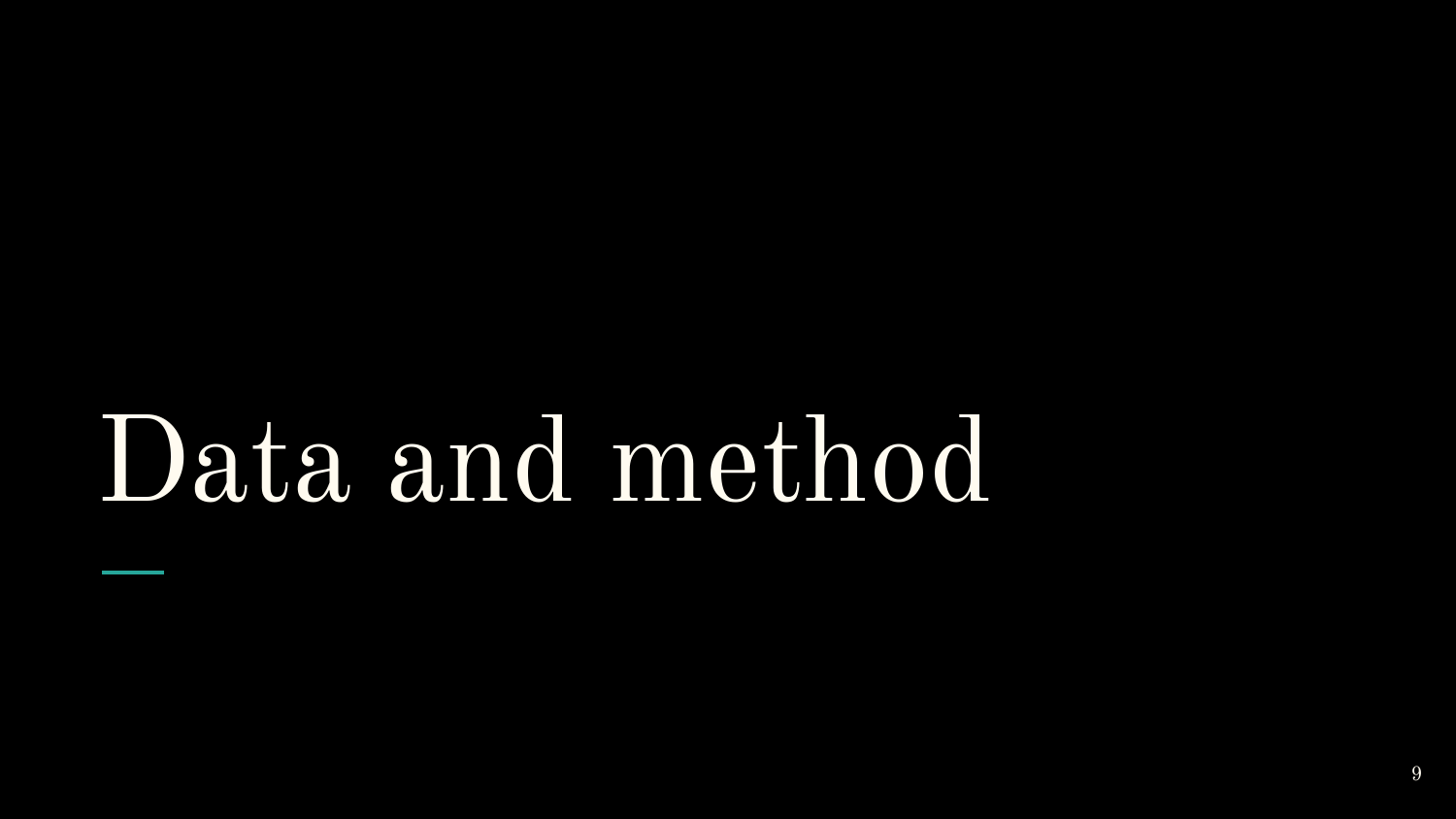## Data and method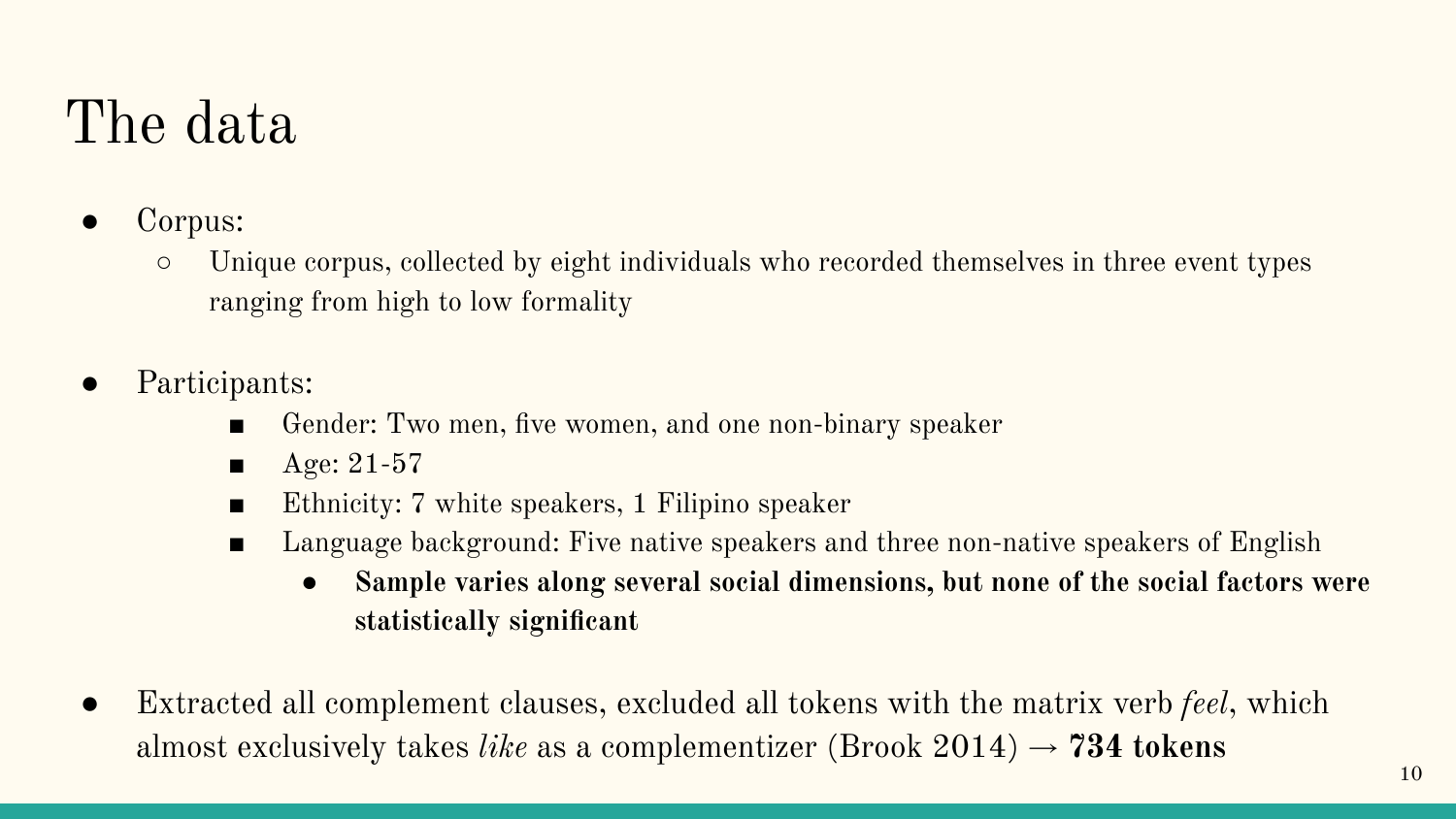#### The data

- Corpus:
	- Unique corpus, collected by eight individuals who recorded themselves in three event types ranging from high to low formality
- Participants:
	- Gender: Two men, five women, and one non-binary speaker
	- $\blacksquare$  Age: 21-57
	- Ethnicity: 7 white speakers, 1 Filipino speaker
	- Language background: Five native speakers and three non-native speakers of English
		- **● Sample varies along several social dimensions, but none of the social factors were statistically significant**
- **●** Extracted all complement clauses, excluded all tokens with the matrix verb *feel*, which almost exclusively takes *like* as a complementizer (Brook  $2014$ )  $\rightarrow$  **734 tokens**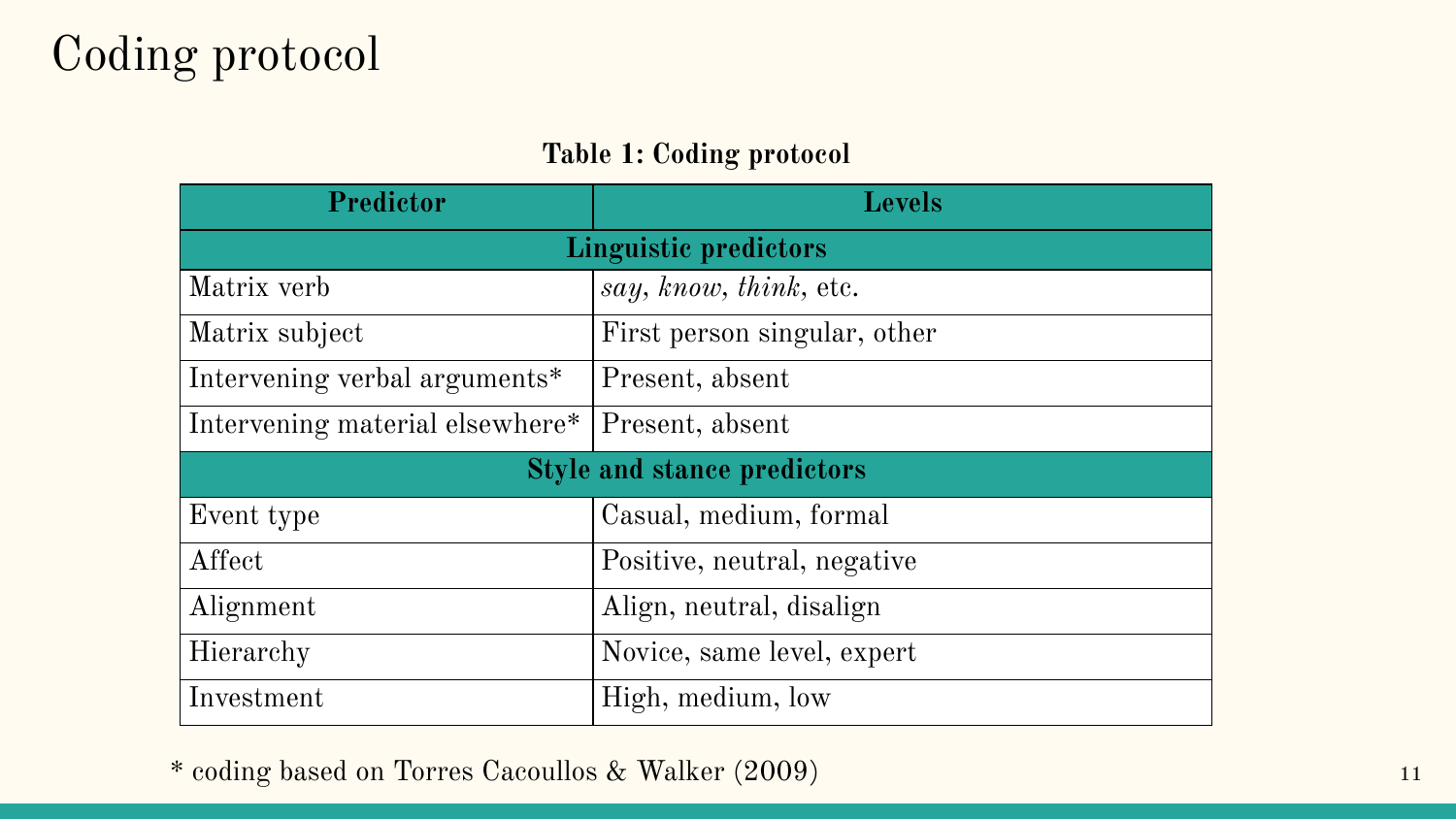#### **Table 1: Coding protocol**

| <b>Predictor</b>                   | <b>Levels</b>                |  |  |  |
|------------------------------------|------------------------------|--|--|--|
| <b>Linguistic predictors</b>       |                              |  |  |  |
| Matrix verb                        | say, know, think, etc.       |  |  |  |
| Matrix subject                     | First person singular, other |  |  |  |
| Intervening verbal arguments*      | Present, absent              |  |  |  |
| Intervening material elsewhere*    | Present, absent              |  |  |  |
| <b>Style and stance predictors</b> |                              |  |  |  |
| Event type                         | Casual, medium, formal       |  |  |  |
| Affect                             | Positive, neutral, negative  |  |  |  |
| Alignment                          | Align, neutral, disalign     |  |  |  |
| Hierarchy                          | Novice, same level, expert   |  |  |  |
| Investment                         | High, medium, low            |  |  |  |

\* coding based on Torres Cacoullos & Walker (2009) 11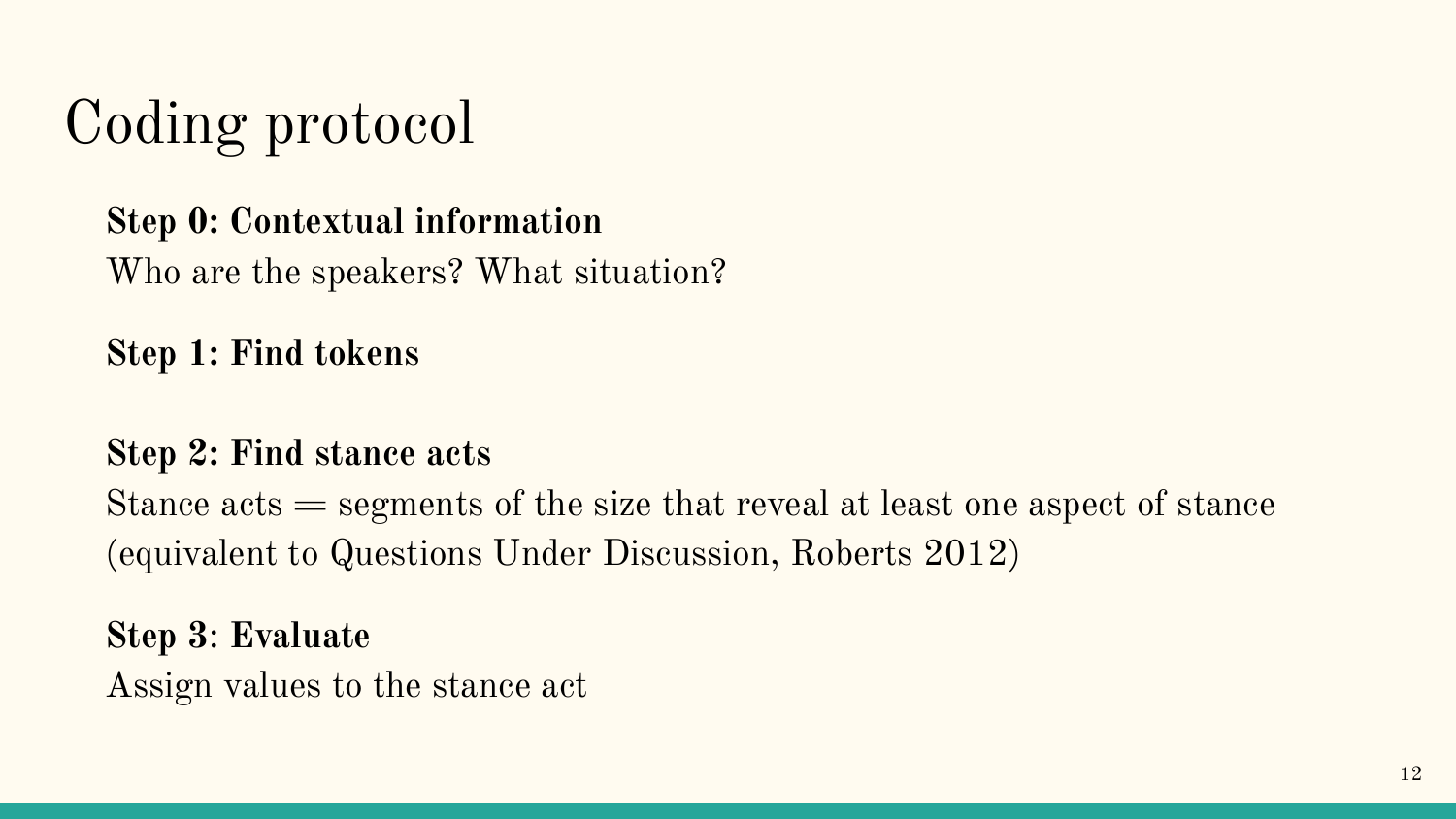#### **Step 0: Contextual information**

Who are the speakers? What situation?

**Step 1: Find tokens** 

#### **Step 2: Find stance acts**

Stance acts = segments of the size that reveal at least one aspect of stance (equivalent to Questions Under Discussion, Roberts 2012)

**Step 3**: **Evaluate**  Assign values to the stance act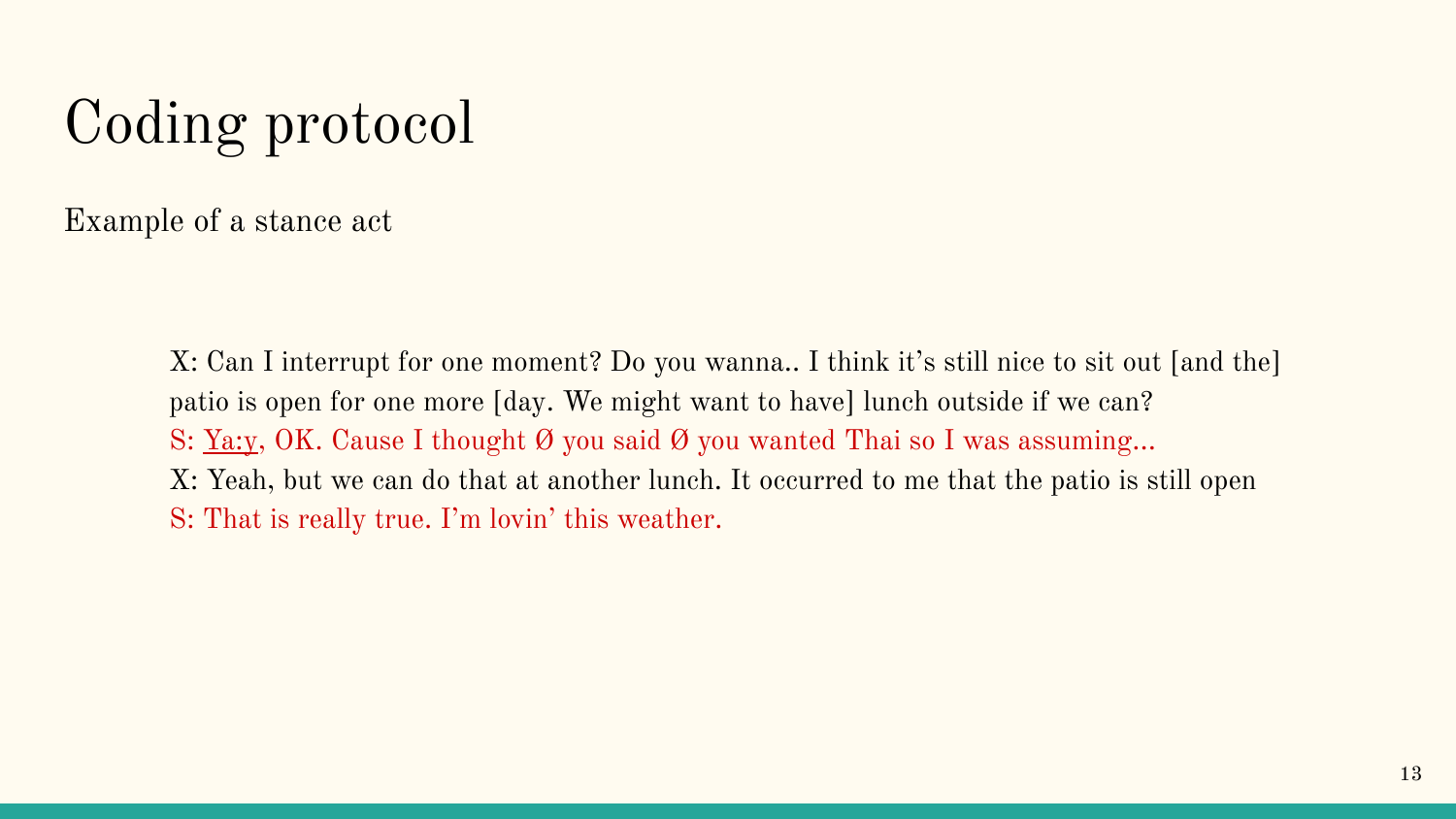Example of a stance act

X: Can I interrupt for one moment? Do you wanna.. I think it's still nice to sit out [and the] patio is open for one more [day. We might want to have] lunch outside if we can? S: <u>Ya:v</u>, OK. Cause I thought  $\emptyset$  you said  $\emptyset$  you wanted Thai so I was assuming... X: Yeah, but we can do that at another lunch. It occurred to me that the patio is still open S: That is really true. I'm lovin' this weather.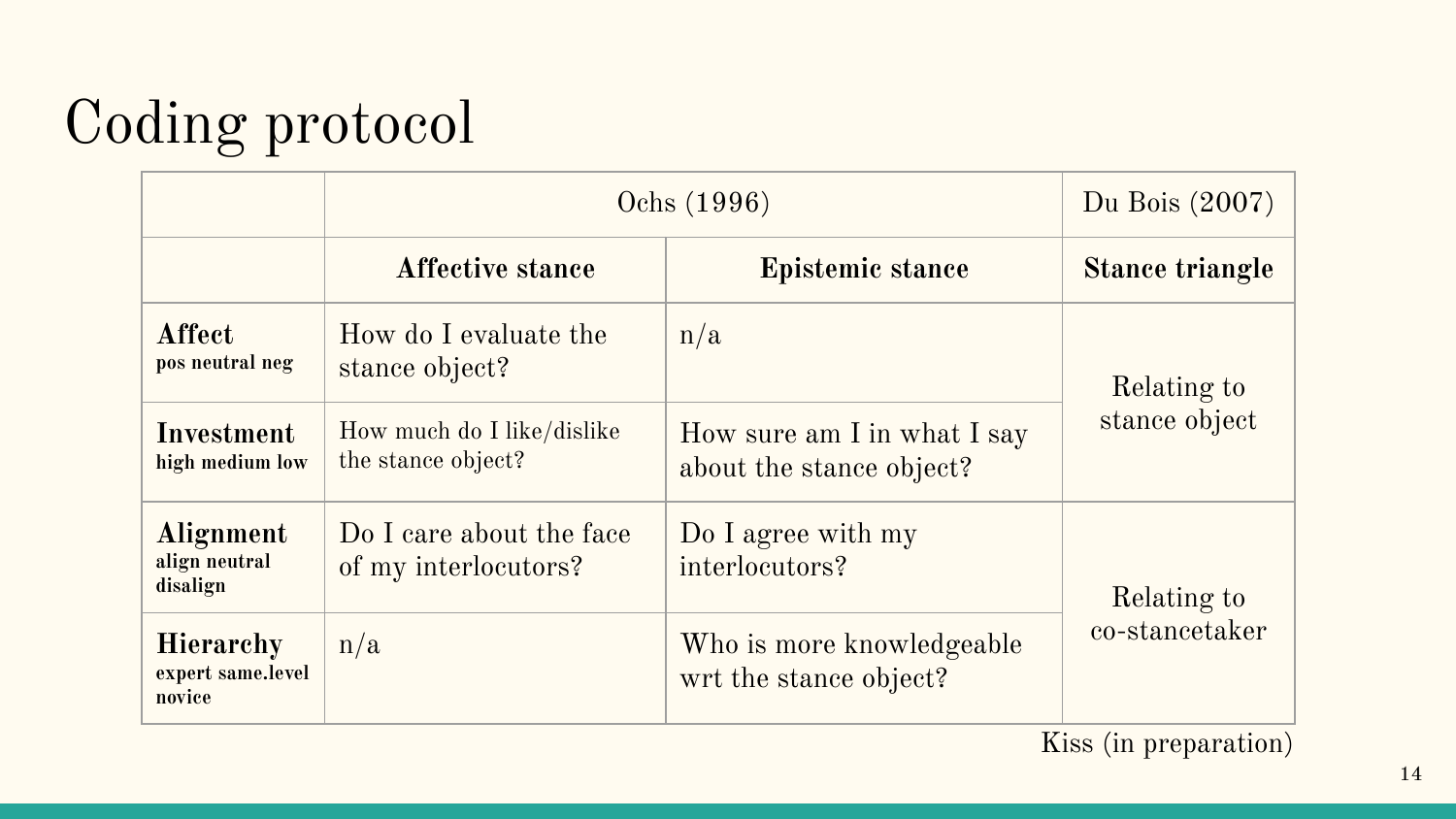|                                                 | Ochs (1996)                                      | Du Bois (2007)                                          |                               |  |
|-------------------------------------------------|--------------------------------------------------|---------------------------------------------------------|-------------------------------|--|
|                                                 | <b>Affective stance</b>                          | <b>Epistemic stance</b>                                 | <b>Stance triangle</b>        |  |
| Affect<br>pos neutral neg                       | How do I evaluate the<br>stance object?          | n/a                                                     | Relating to<br>stance object  |  |
| Investment<br>high medium low                   | How much do I like/dislike<br>the stance object? | How sure am I in what I say<br>about the stance object? |                               |  |
| Alignment<br>align neutral<br>disalign          | Do I care about the face<br>of my interlocutors? | Do I agree with my<br>interlocutors?                    | Relating to<br>co-stancetaker |  |
| <b>Hierarchy</b><br>expert same.level<br>novice | n/a                                              | Who is more knowledgeable<br>wrt the stance object?     |                               |  |

Kiss (in preparation)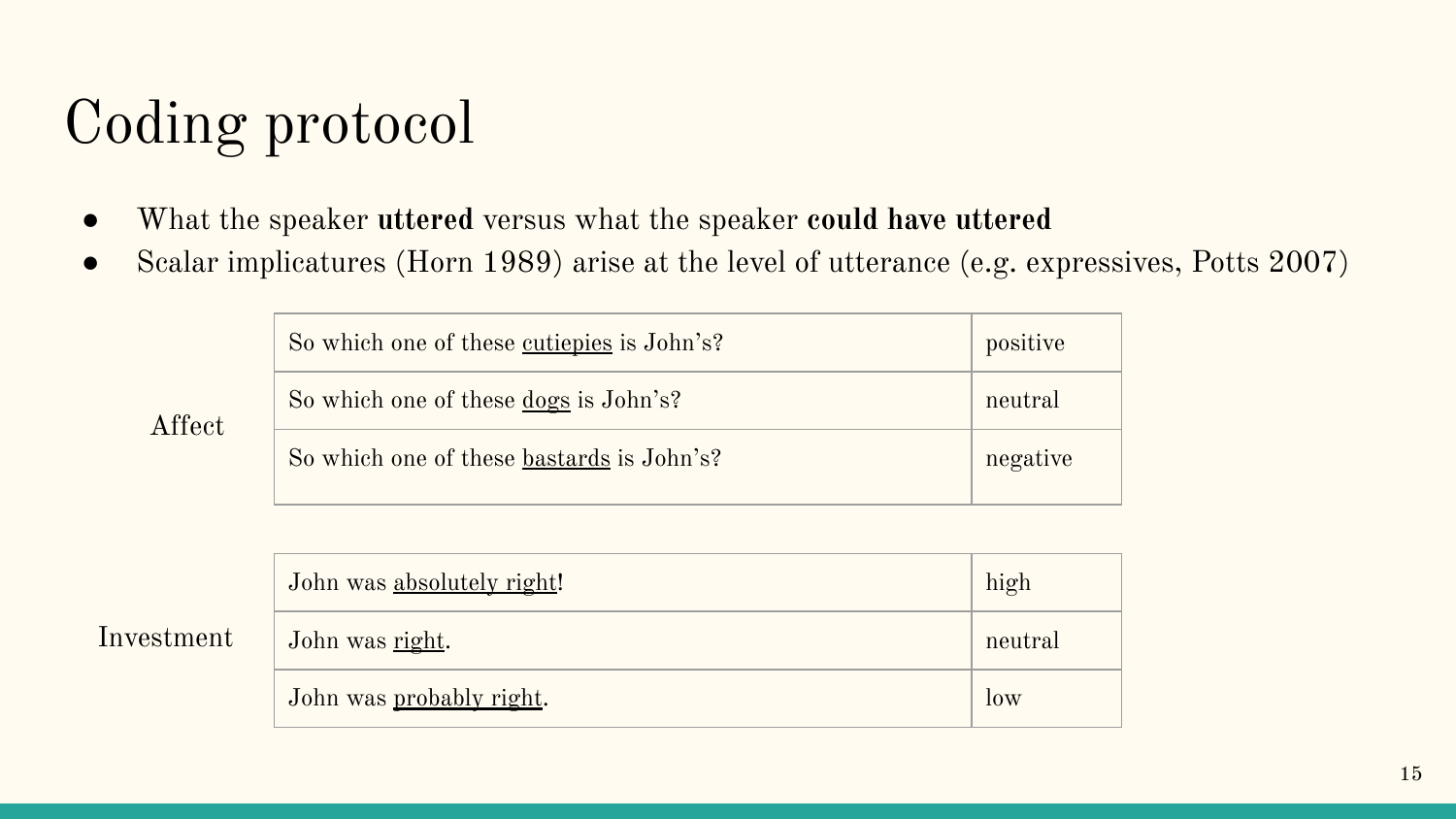- What the speaker **uttered** versus what the speaker **could have uttered**
- Scalar implicatures (Horn 1989) arise at the level of utterance (e.g. expressives, Potts 2007)

| So which one of these cutiepies is John's?   | positive |
|----------------------------------------------|----------|
| So which one of these <u>dogs</u> is John's? | neutral  |
| So which one of these bastards is John's?    | negative |

| Affect |
|--------|
|--------|

|            | John was absolutely right! | high    |
|------------|----------------------------|---------|
| Investment | John was right.            | neutral |
|            | John was probably right.   | low     |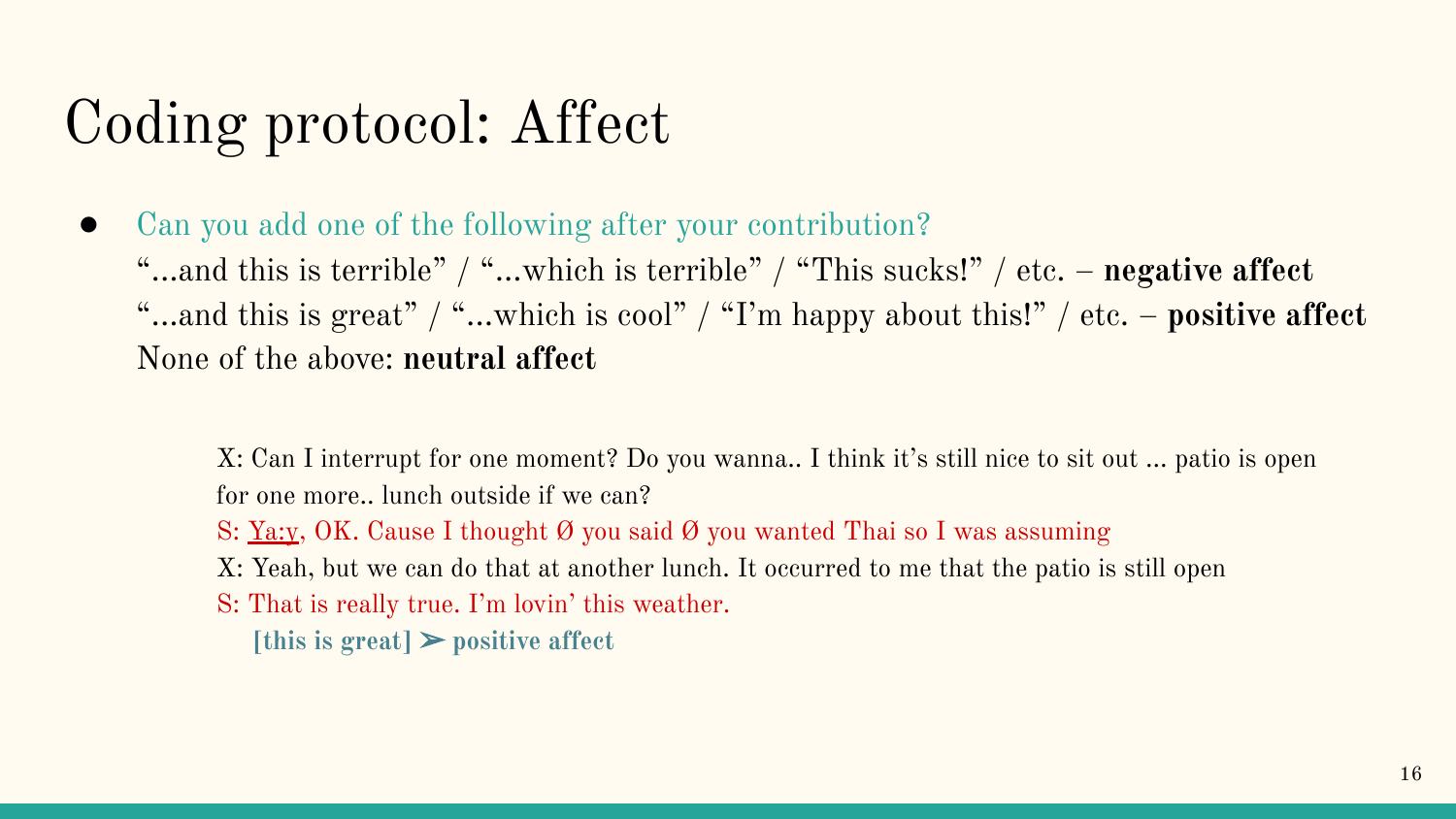## Coding protocol: Affect

- Can you add one of the following after your contribution?
	- "...and this is terrible" / "...which is terrible" / "This sucks!" / etc. **negative affect** "...and this is great" / "...which is cool" / "I'm happy about this!" / etc. – **positive affect** None of the above: **neutral affect**

X: Can I interrupt for one moment? Do you wanna.. I think it's still nice to sit out ... patio is open for one more.. lunch outside if we can?

- S: Ya:y, OK. Cause I thought Ø you said Ø you wanted Thai so I was assuming
- X: Yeah, but we can do that at another lunch. It occurred to me that the patio is still open
- S: That is really true. I'm lovin' this weather.
	- $[this is great]$  positive affect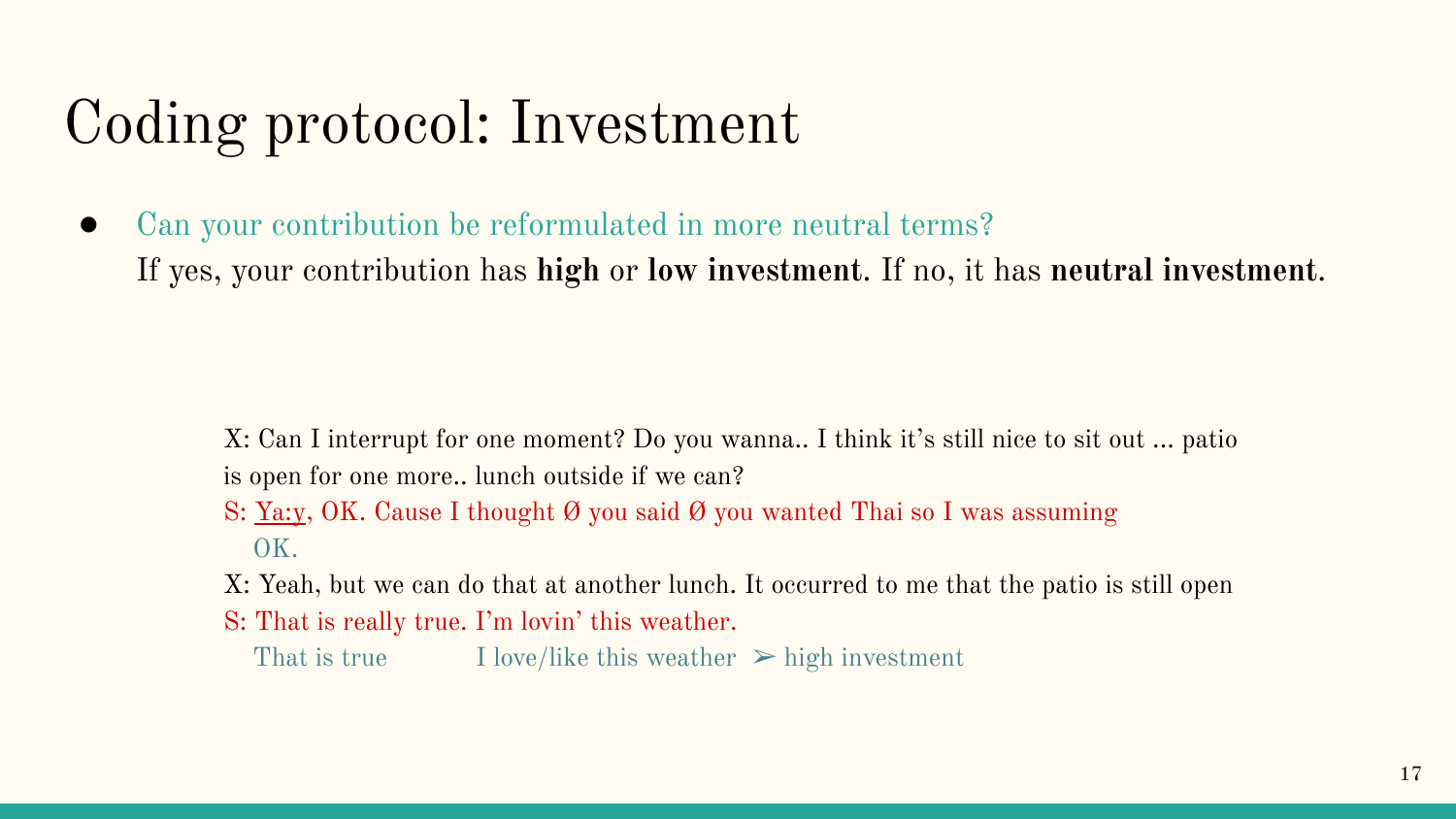## Coding protocol: Investment

Can your contribution be reformulated in more neutral terms? If yes, your contribution has **high** or **low investment**. If no, it has **neutral investment**.

> X: Can I interrupt for one moment? Do you wanna.. I think it's still nice to sit out ... patio is open for one more.. lunch outside if we can?

- S: <u>Ya:y</u>, OK. Cause I thought  $\emptyset$  you said  $\emptyset$  you wanted Thai so I was assuming OK.
- X: Yeah, but we can do that at another lunch. It occurred to me that the patio is still open
- S: That is really true. I'm lovin' this weather.

That is true I love/like this weather  $\triangleright$  high investment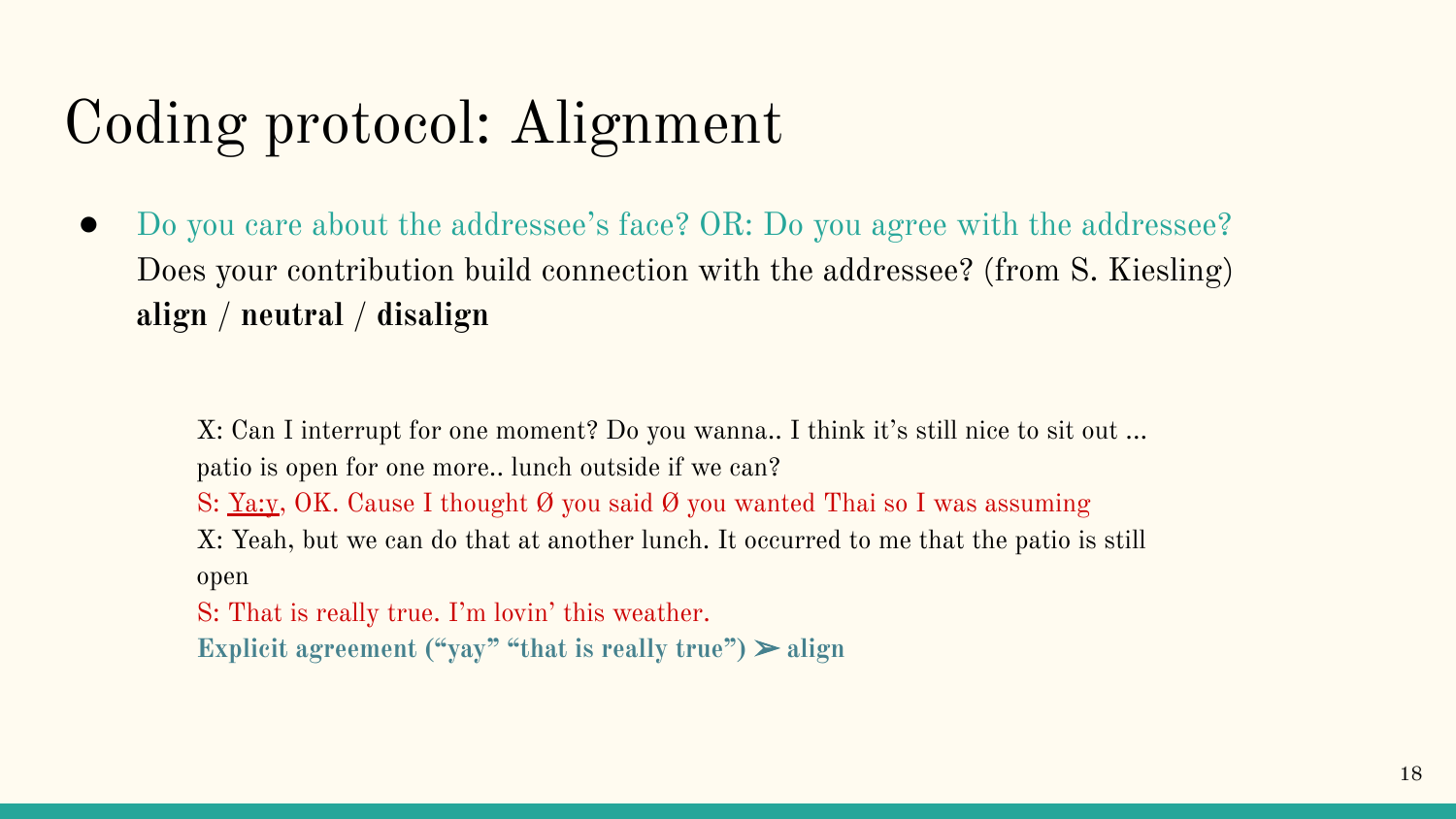## Coding protocol: Alignment

Do you care about the addressee's face? OR: Do you agree with the addressee? Does your contribution build connection with the addressee? (from S. Kiesling) **align** / **neutral** / **disalign**

X: Can I interrupt for one moment? Do you wanna.. I think it's still nice to sit out ... patio is open for one more.. lunch outside if we can? S: <u>Ya:y</u>, OK. Cause I thought Ø you said Ø you wanted Thai so I was assuming X: Yeah, but we can do that at another lunch. It occurred to me that the patio is still open S: That is really true. I'm lovin' this weather.

**Explicit agreement ("yay" "that is really true")** ➢ **align**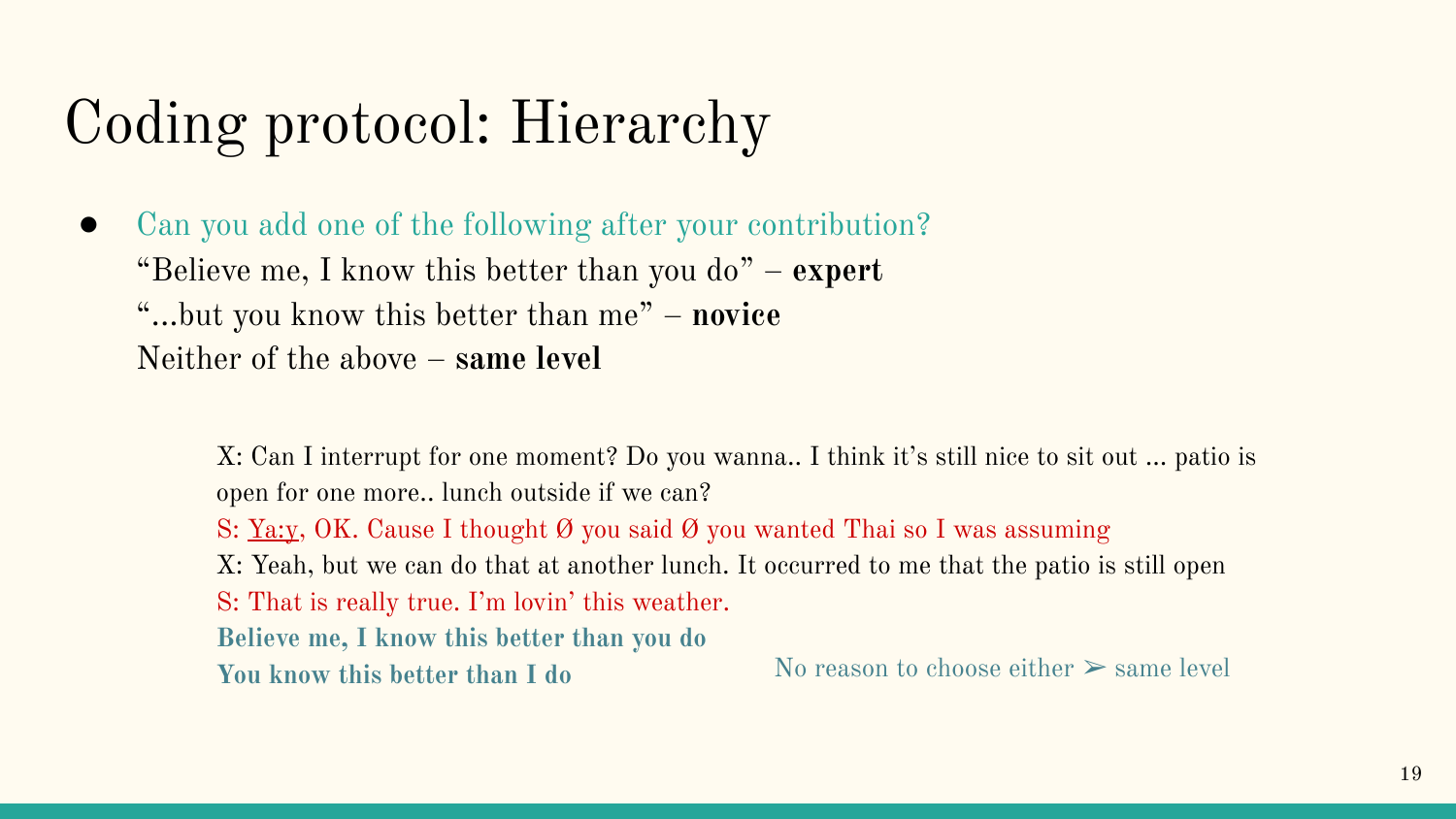## Coding protocol: Hierarchy

● Can you add one of the following after your contribution? "Believe me, I know this better than you do" – **expert** "...but you know this better than me" – **novice** Neither of the above – **same level**

> X: Can I interrupt for one moment? Do you wanna.. I think it's still nice to sit out ... patio is open for one more.. lunch outside if we can? S: <u>Ya:y, OK</u>. Cause I thought  $\emptyset$  you said  $\emptyset$  you wanted Thai so I was assuming X: Yeah, but we can do that at another lunch. It occurred to me that the patio is still open S: That is really true. I'm lovin' this weather. **Believe me, I know this better than you do You know this better than I do** No reason to choose either  $\geq$  same level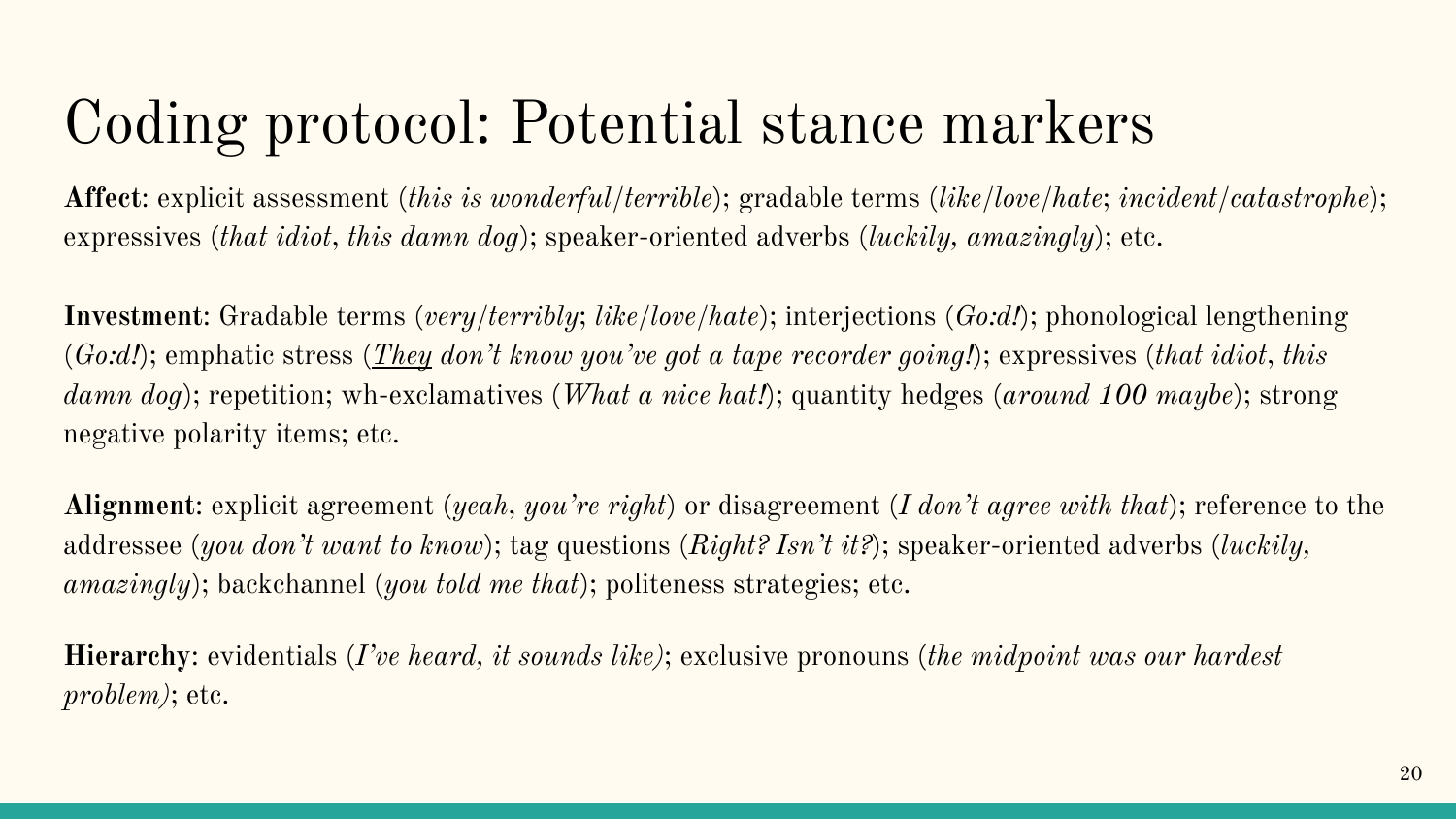#### Coding protocol: Potential stance markers

**Affect**: explicit assessment (*this is wonderful/terrible*); gradable terms (*like/love/hate*; *incident/catastrophe*); expressives (*that idiot*, *this damn dog*); speaker-oriented adverbs (*luckily, amazingly*); etc.

**Investment**: Gradable terms (*very/terribly*; *like/love/hate*); interjections (*Go:d!*); phonological lengthening (*Go:d!*); emphatic stress (*They don't know you've got a tape recorder going!*); expressives (*that idiot*, *this damn dog*); repetition; wh-exclamatives (*What a nice hat!*); quantity hedges (*around 100 maybe*); strong negative polarity items; etc.

**Alignment**: explicit agreement (*yeah*, *you're right*) or disagreement (*I don't agree with that*); reference to the addressee (*you don't want to know*); tag questions (*Right? Isn't it?*); speaker-oriented adverbs (*luckily, amazingly*); backchannel (*you told me that*); politeness strategies; etc.

**Hierarchy**: evidentials (*I've heard, it sounds likè*; exclusive pronouns (*the midpoint was our hardest problem)*; etc.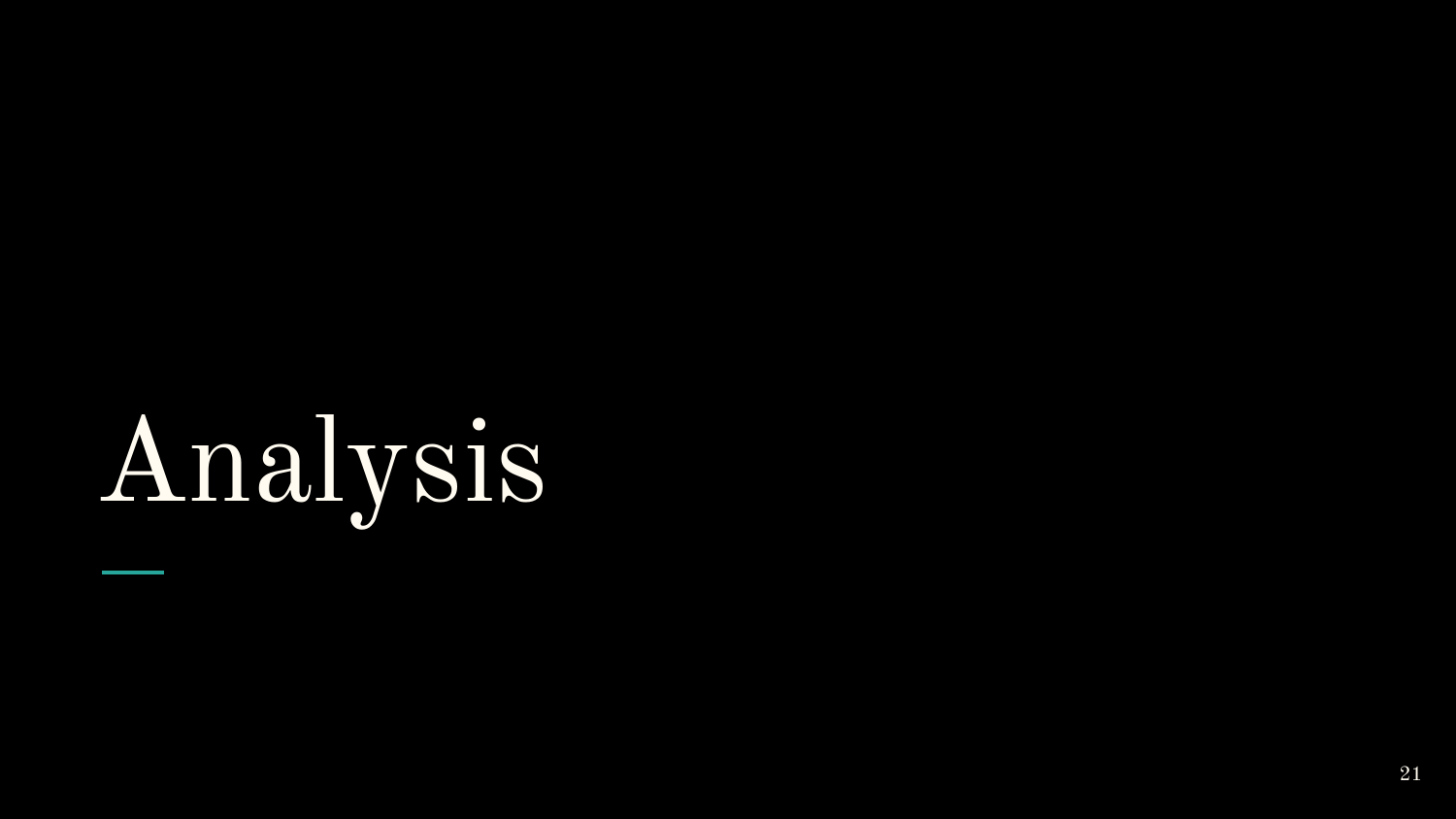# Analysis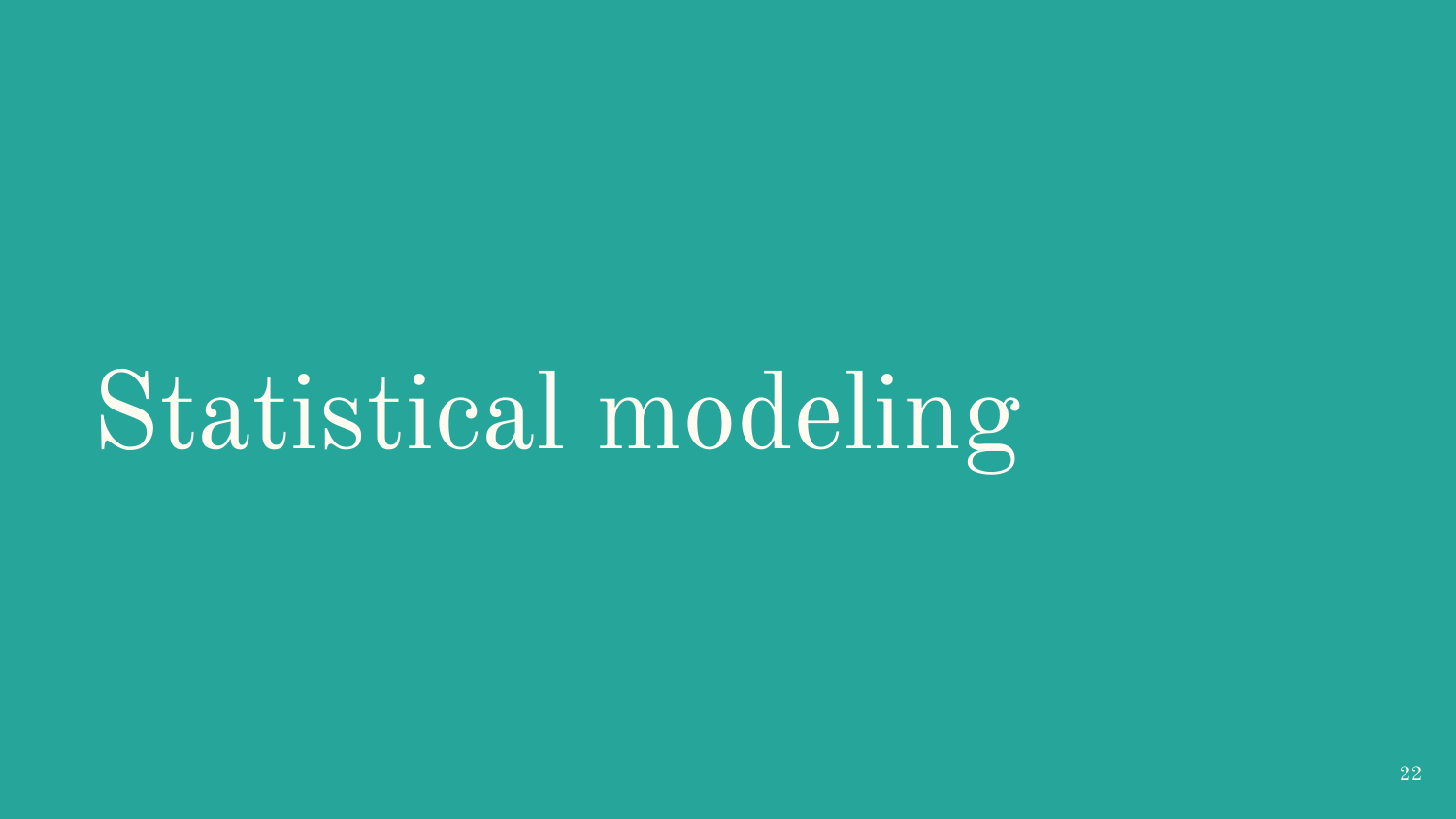## Statistical modeling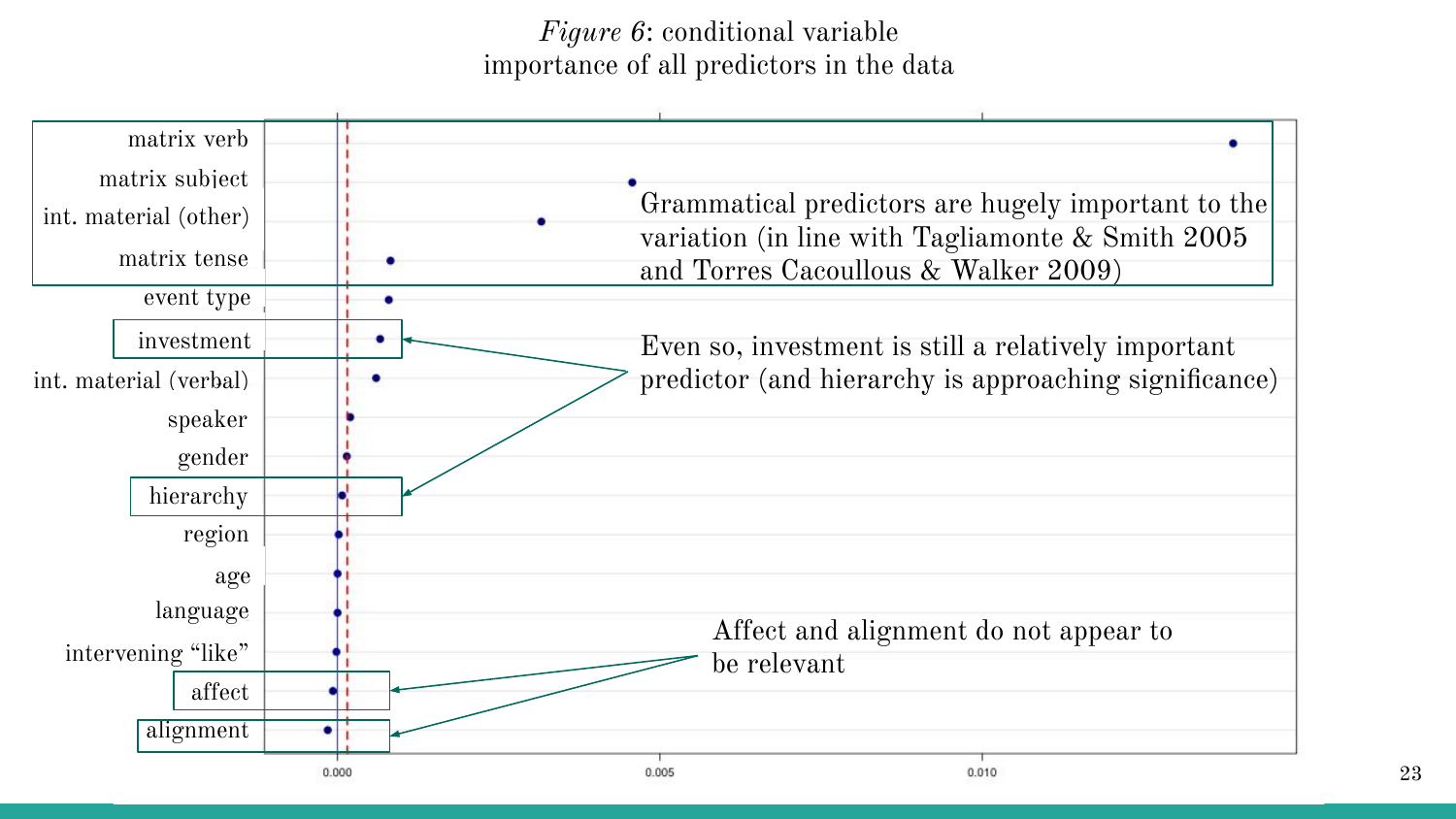*Figure 6*: conditional variable importance of all predictors in the data

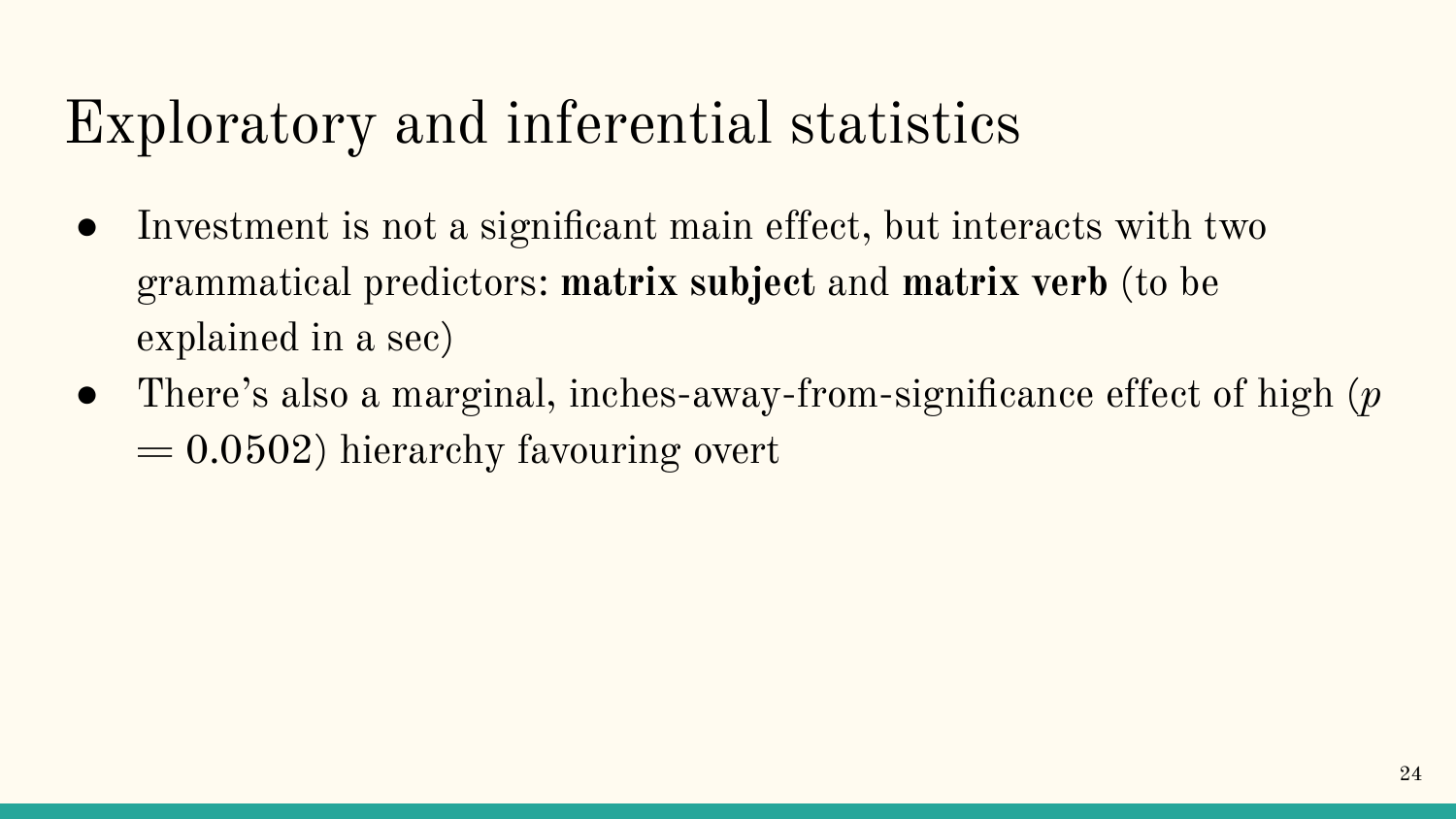#### Exploratory and inferential statistics

- Investment is not a significant main effect, but interacts with two grammatical predictors: **matrix subject** and **matrix verb** (to be explained in a sec)
- There's also a marginal, inches-away-from-significance effect of high (*p*  $= 0.0502$ ) hierarchy favouring overt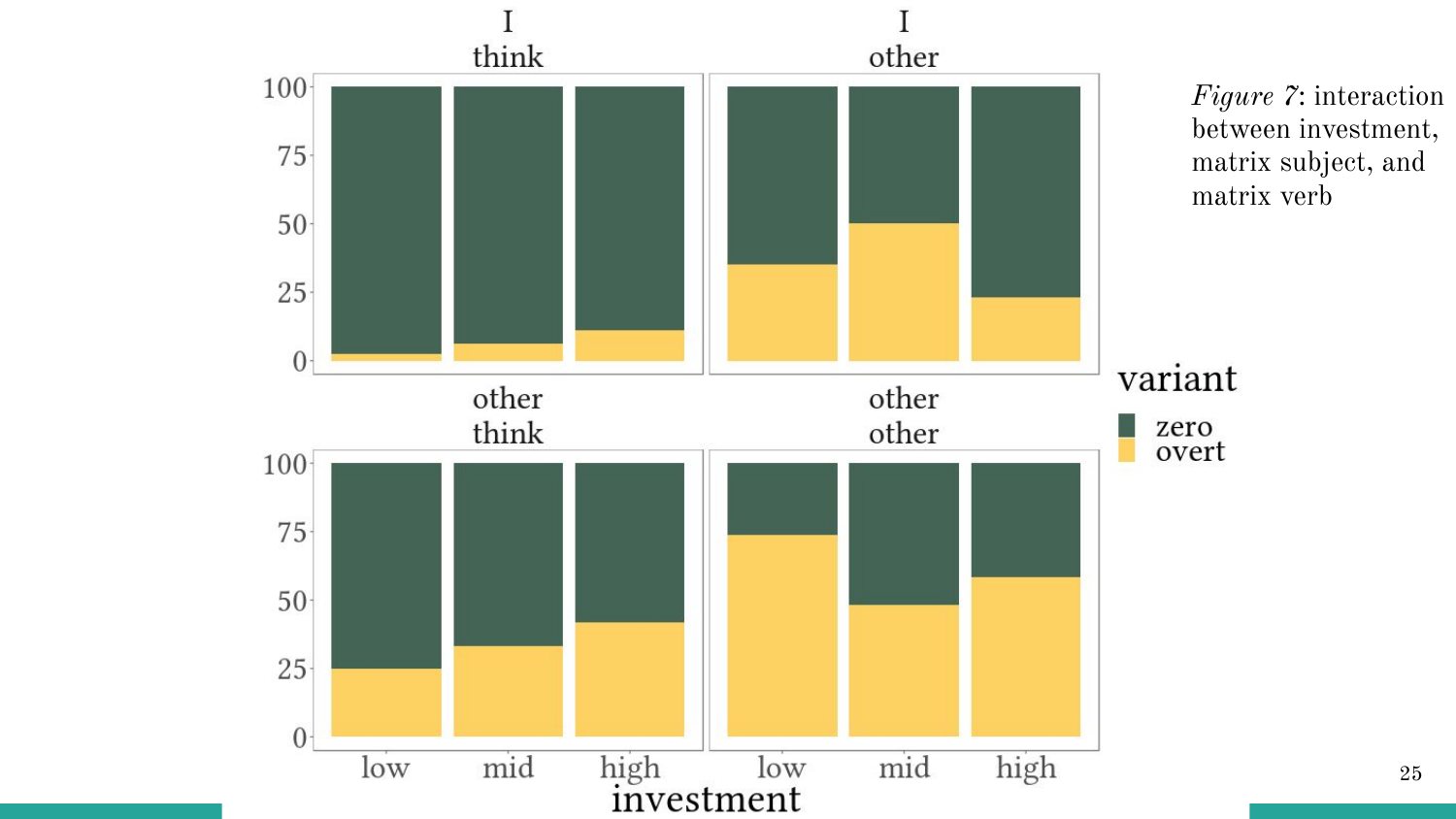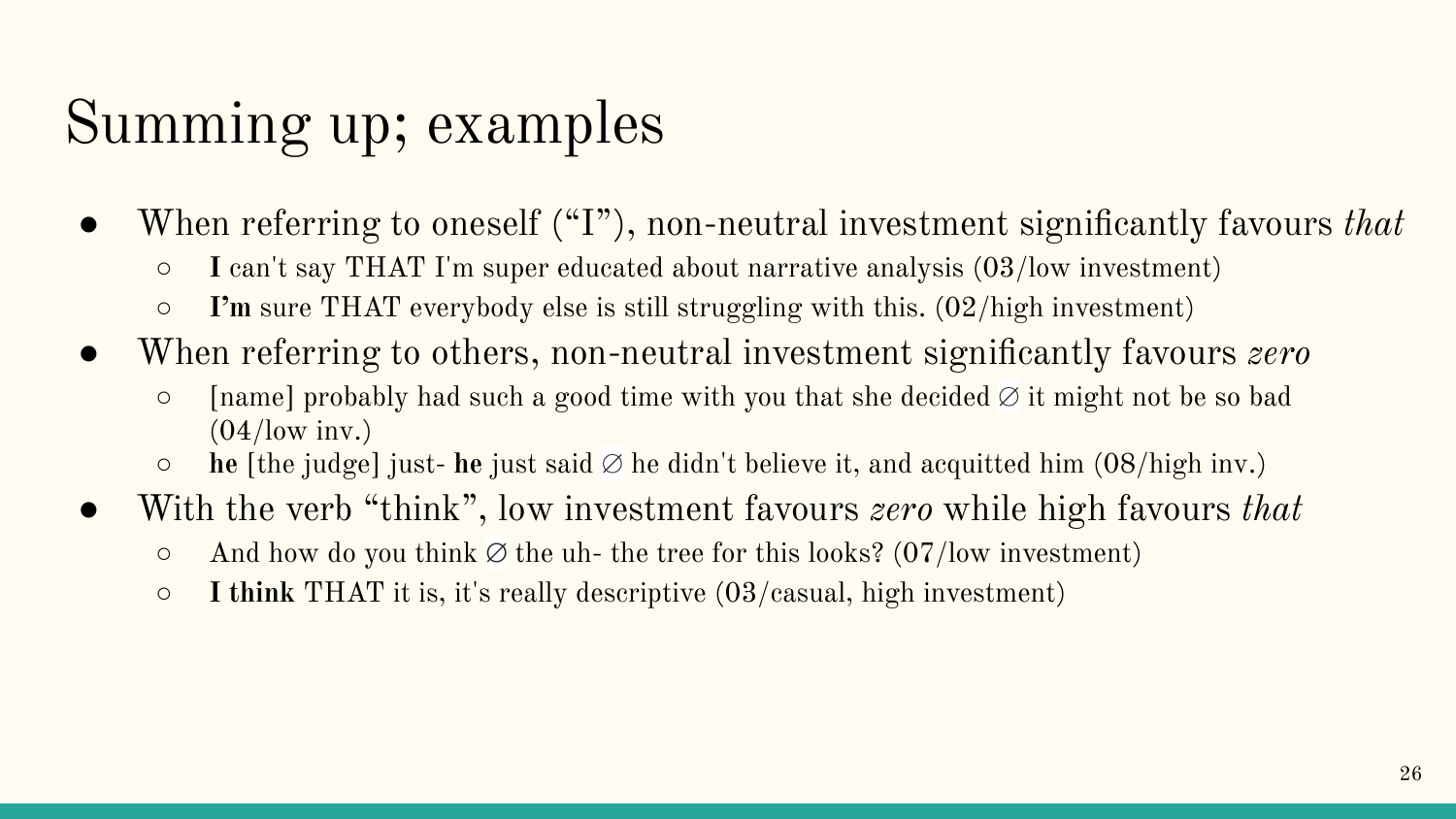#### Summing up; examples

- When referring to oneself ("I"), non-neutral investment significantly favours *that*
	- **I** can't say THAT I'm super educated about narrative analysis (03/low investment)
	- **○ I'm** sure THAT everybody else is still struggling with this. (02/high investment)
- When referring to others, non-neutral investment significantly favours *zero*
	- [name] probably had such a good time with you that she decided ∅ it might not be so bad  $(04/$ low inv.)
	- **he** [the judge] just- **he** just said ∅ he didn't believe it, and acquitted him (08/high inv.)
- With the verb "think", low investment favours *zero* while high favours *that*
	- And how do you think **∅** the uh- the tree for this looks? (07/low investment)
	- **I think** THAT it is, it's really descriptive (03/casual, high investment)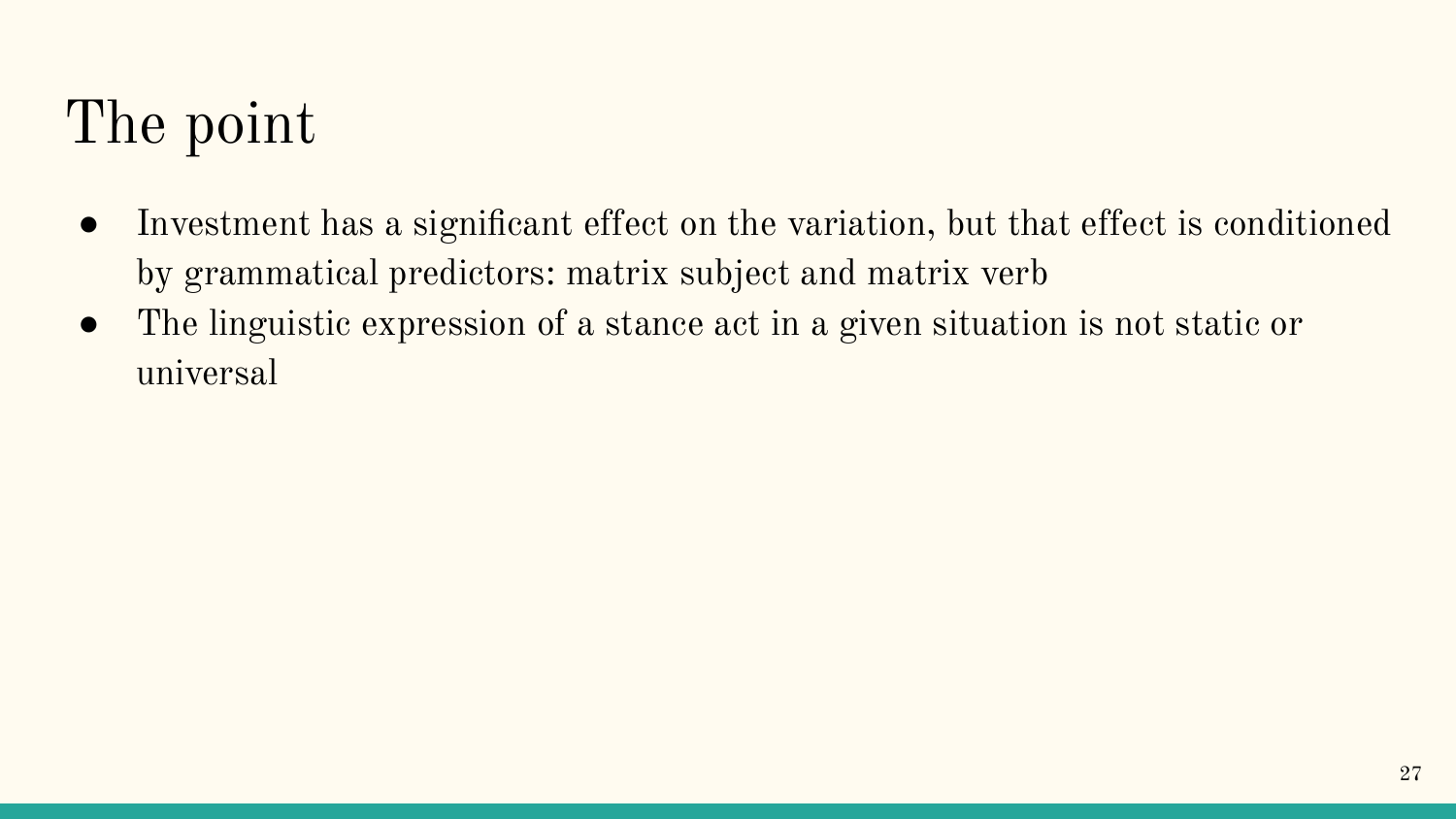## The point

- Investment has a significant effect on the variation, but that effect is conditioned by grammatical predictors: matrix subject and matrix verb
- The linguistic expression of a stance act in a given situation is not static or universal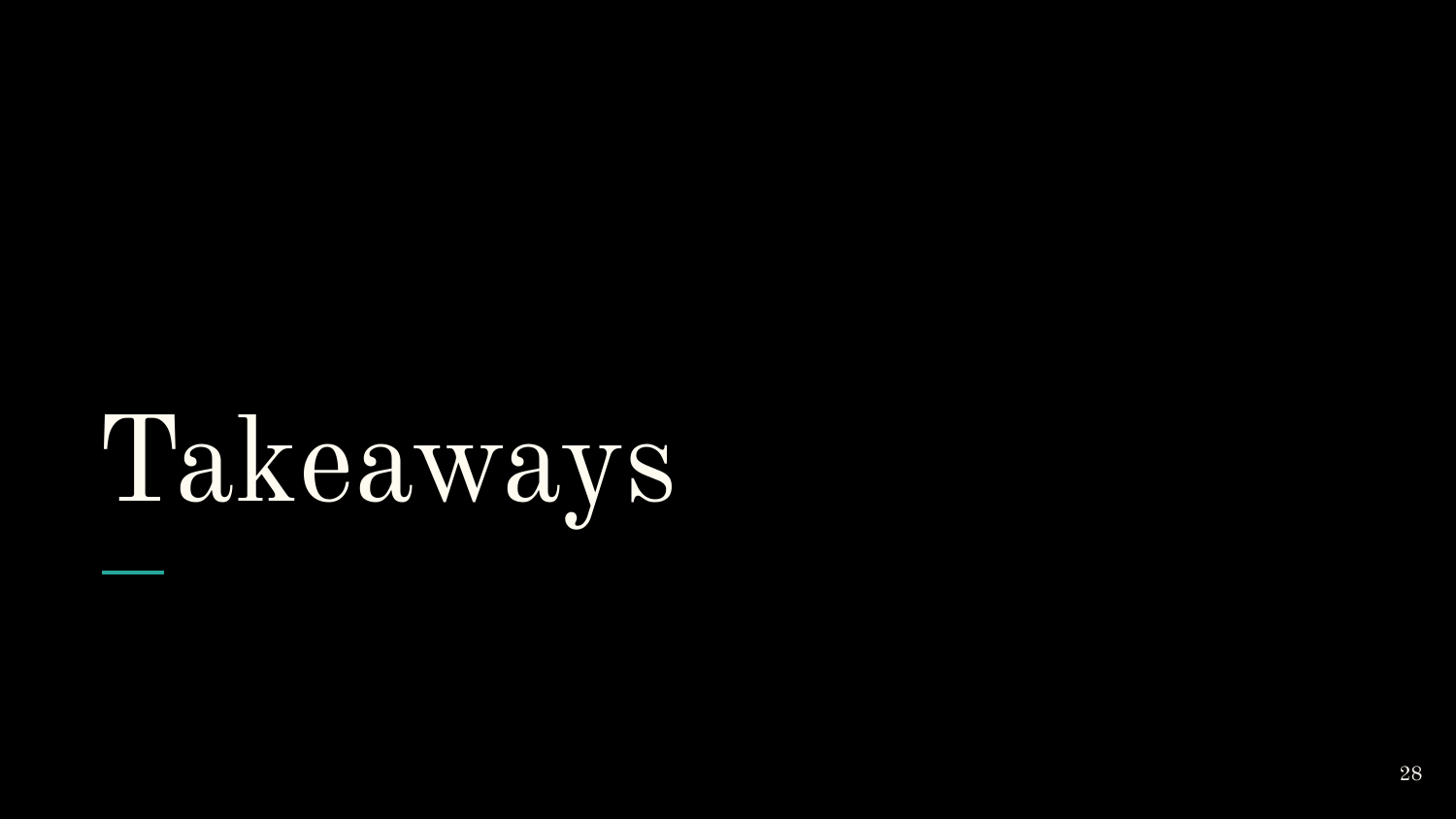# Takeaways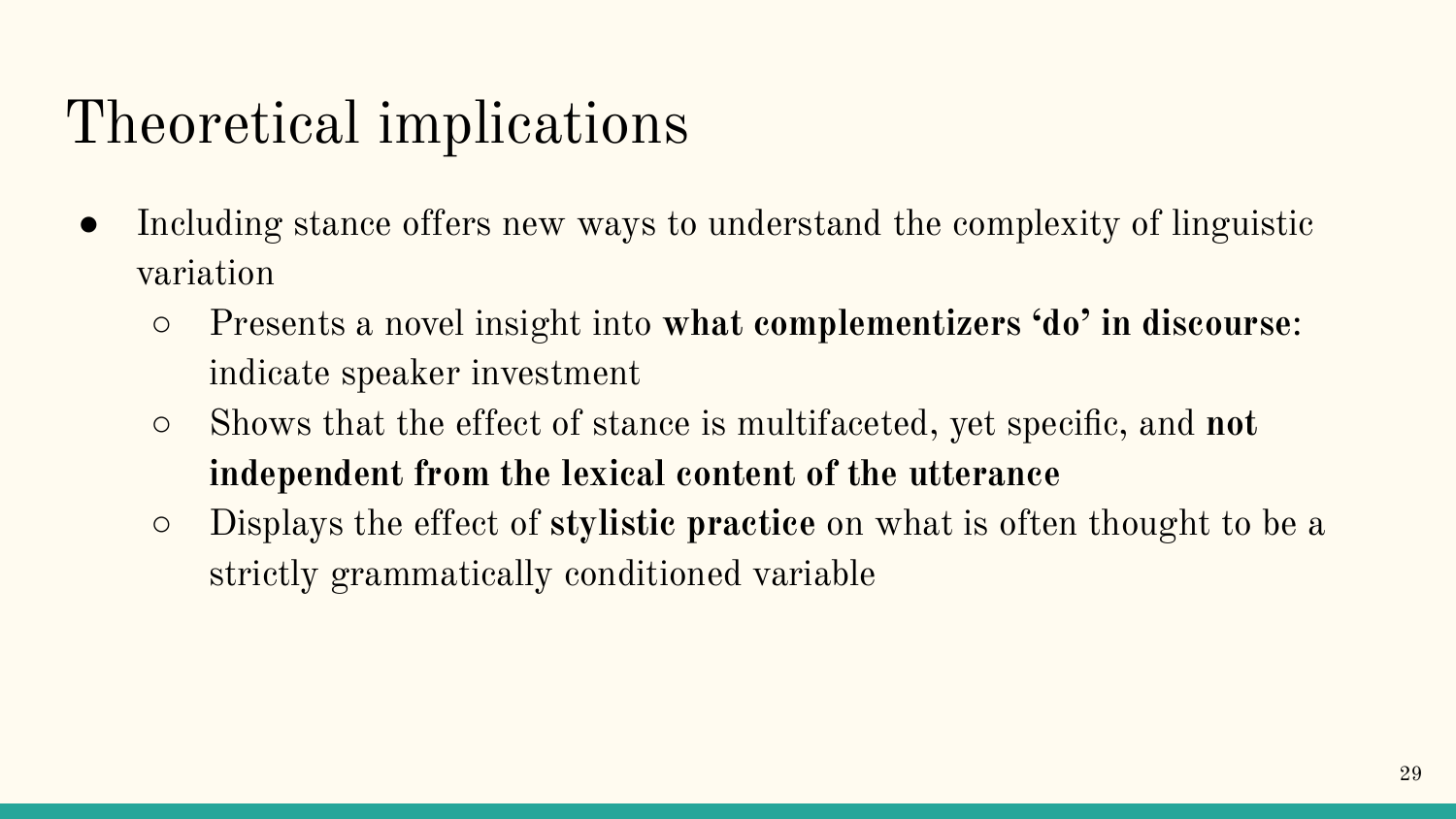#### Theoretical implications

- Including stance offers new ways to understand the complexity of linguistic variation
	- Presents a novel insight into **what complementizers 'do' in discourse**: indicate speaker investment
	- Shows that the effect of stance is multifaceted, yet specific, and **not independent from the lexical content of the utterance**
	- Displays the effect of **stylistic practice** on what is often thought to be a strictly grammatically conditioned variable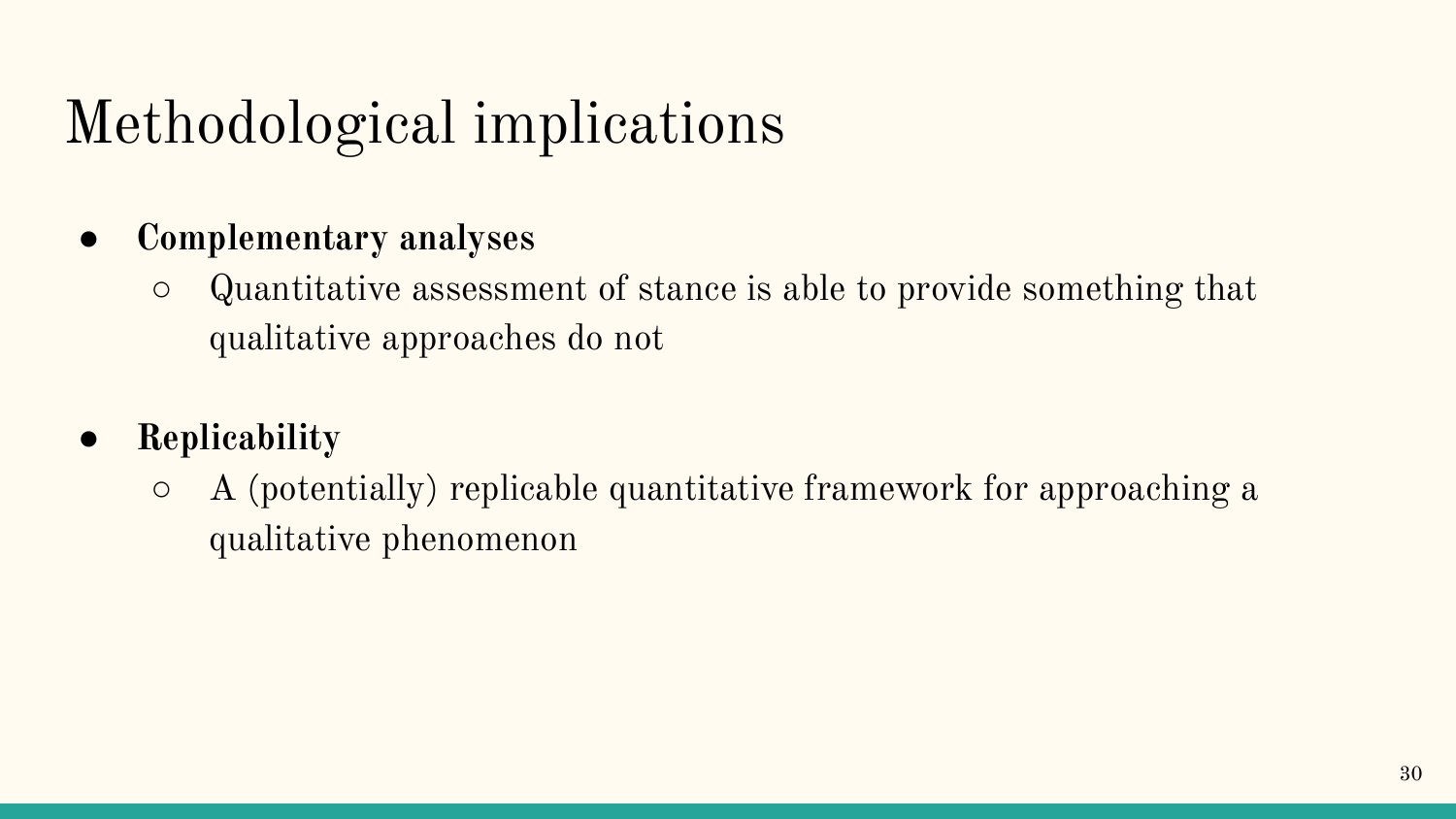## Methodological implications

- **● Complementary analyses**
	- Quantitative assessment of stance is able to provide something that qualitative approaches do not
- **● Replicability**
	- $\circ$  A (potentially) replicable quantitative framework for approaching a qualitative phenomenon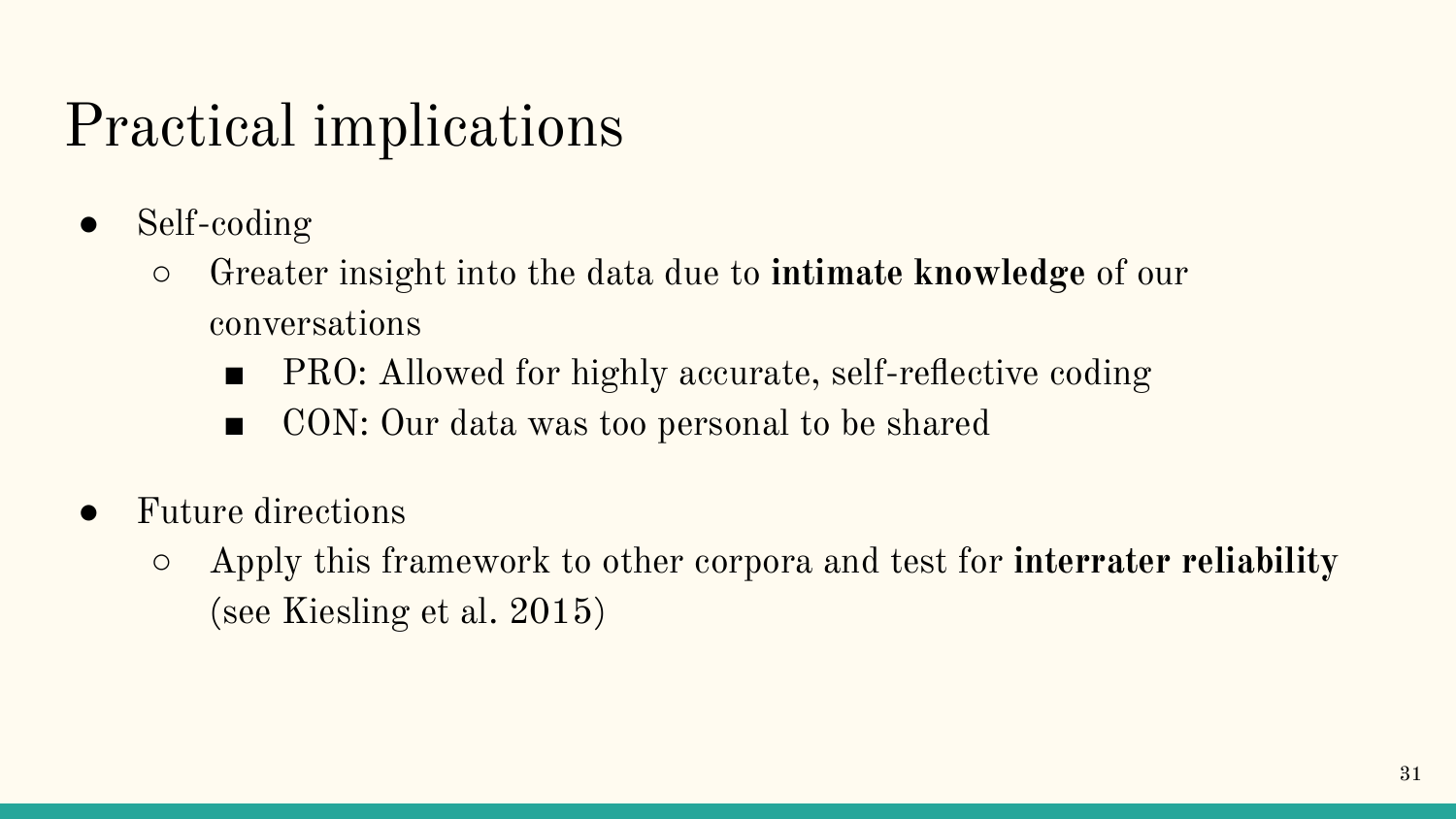#### Practical implications

- Self-coding
	- Greater insight into the data due to **intimate knowledge** of our conversations
		- PRO: Allowed for highly accurate, self-reflective coding
		- CON: Our data was too personal to be shared
- Future directions
	- Apply this framework to other corpora and test for **interrater reliability** (see Kiesling et al. 2015)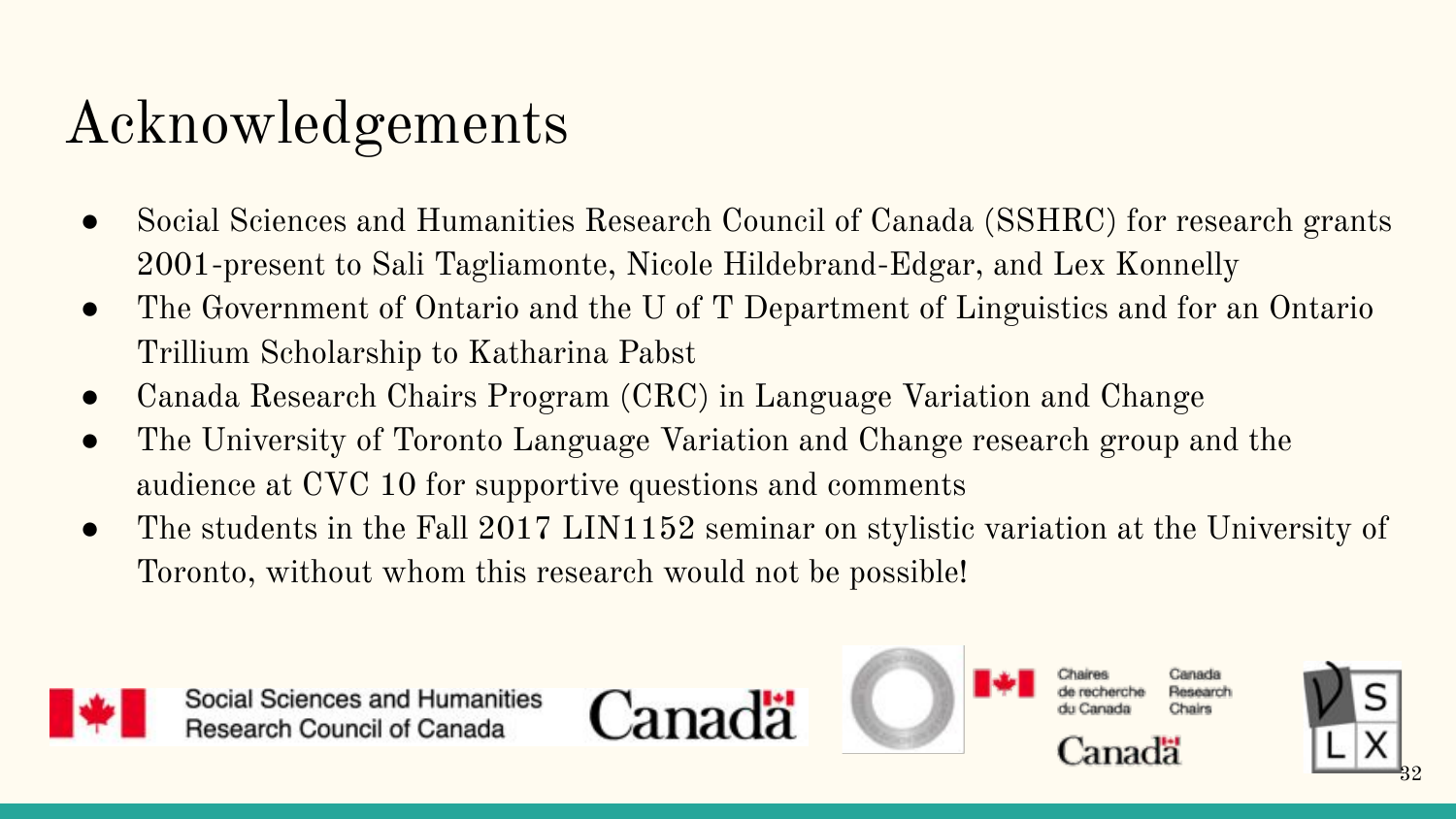#### Acknowledgements

- Social Sciences and Humanities Research Council of Canada (SSHRC) for research grants 2001-present to Sali Tagliamonte, Nicole Hildebrand-Edgar, and Lex Konnelly
- The Government of Ontario and the U of T Department of Linguistics and for an Ontario Trillium Scholarship to Katharina Pabst
- Canada Research Chairs Program (CRC) in Language Variation and Change
- The University of Toronto Language Variation and Change research group and the audience at CVC 10 for supportive questions and comments
- The students in the Fall 2017 LIN1152 seminar on stylistic variation at the University of Toronto, without whom this research would not be possible!



Social Sciences and Humanities **Research Council of Canada** 





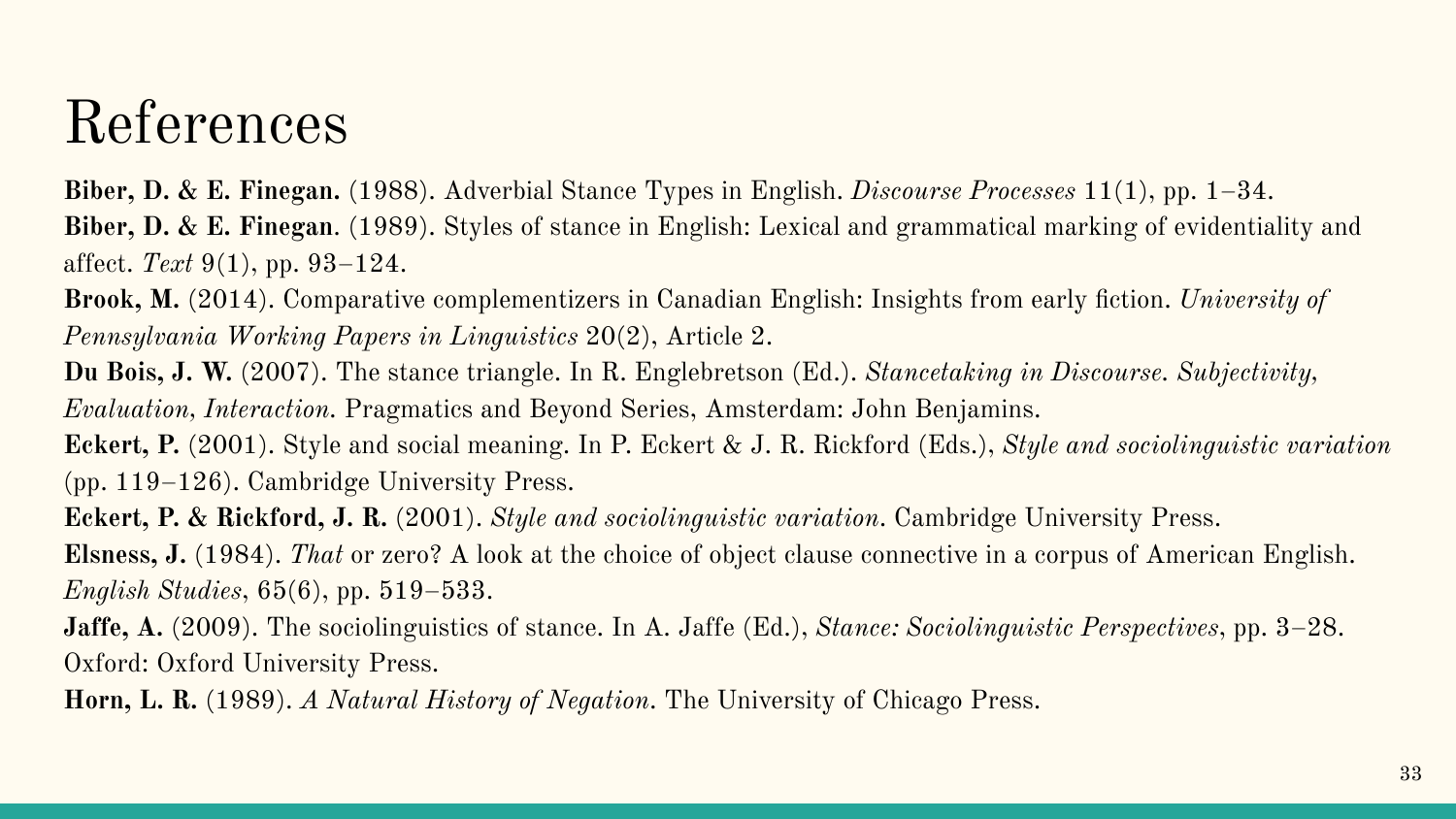#### References

**Biber, D. & E. Finegan.** (1988). Adverbial Stance Types in English. *Discourse Processes* 11(1), pp. 1–34. **Biber, D. & E. Finegan**. (1989). Styles of stance in English: Lexical and grammatical marking of evidentiality and affect. *Text* 9(1), pp. 93–124.

**Brook, M.** (2014). Comparative complementizers in Canadian English: Insights from early fiction. *University of Pennsylvania Working Papers in Linguistics* 20(2), Article 2.

**Du Bois, J. W.** (2007). The stance triangle. In R. Englebretson (Ed.). *Stancetaking in Discourse. Subjectivity, Evaluation, Interaction.* Pragmatics and Beyond Series, Amsterdam: John Benjamins.

**Eckert, P.** (2001). Style and social meaning. In P. Eckert & J. R. Rickford (Eds.), *Style and sociolinguistic variation*  (pp. 119–126). Cambridge University Press.

**Eckert, P. & Rickford, J. R.** (2001). *Style and sociolinguistic variation*. Cambridge University Press.

**Elsness, J.** (1984). *That* or zero? A look at the choice of object clause connective in a corpus of American English. *English Studies*, 65(6), pp. 519–533.

**Jaffe, A.** (2009). The sociolinguistics of stance. In A. Jaffe (Ed.), *Stance: Sociolinguistic Perspectives*, pp. 3–28. Oxford: Oxford University Press.

**Horn, L. R.** (1989). *A Natural History of Negation*. The University of Chicago Press.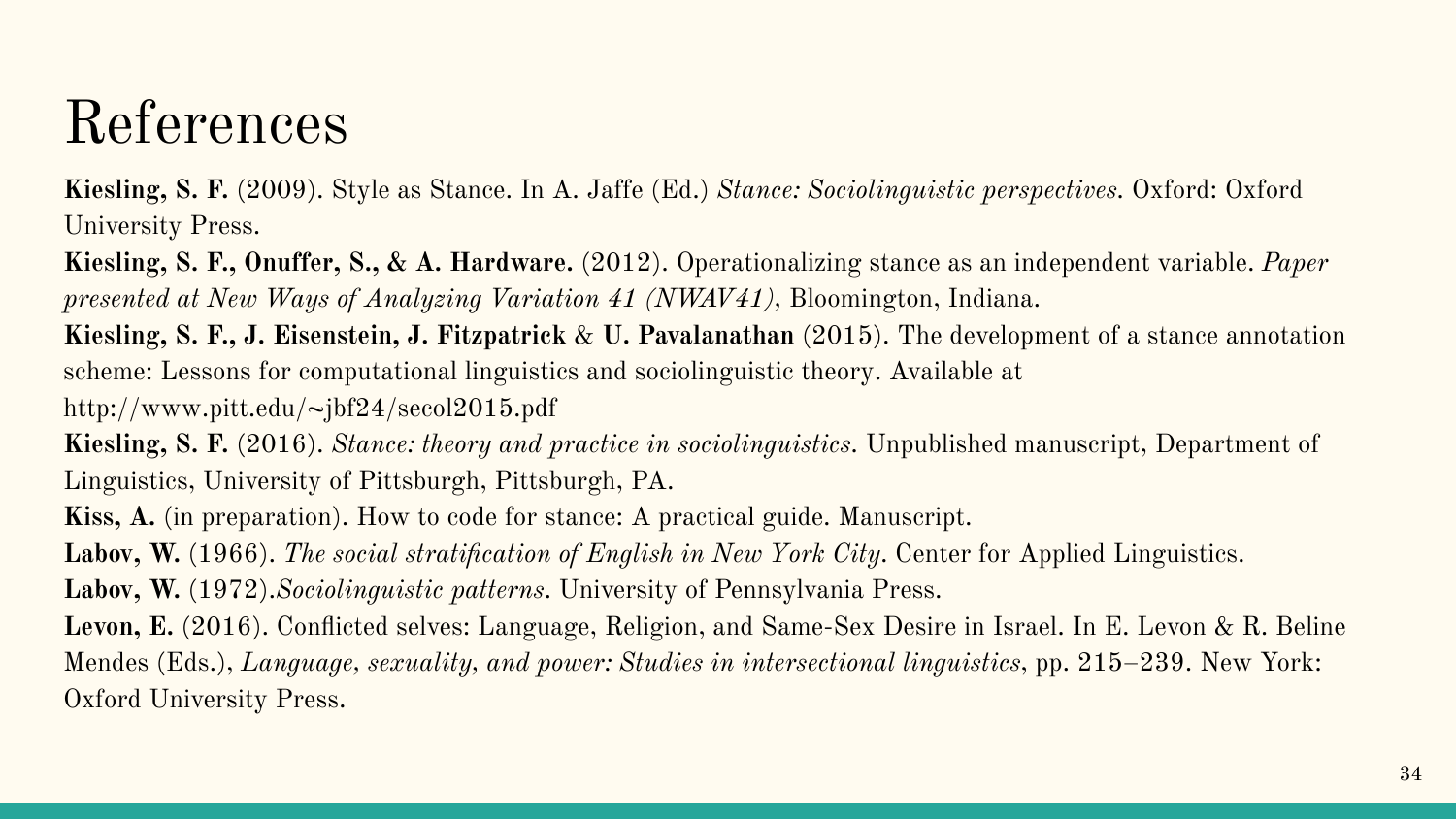#### References

**Kiesling, S. F.** (2009). Style as Stance. In A. Jaffe (Ed.) *Stance: Sociolinguistic perspectives.* Oxford: Oxford University Press.

**Kiesling, S. F., Onuffer, S., & A. Hardware.** (2012). Operationalizing stance as an independent variable. *Paper presented at New Ways of Analyzing Variation 41 (NWAV41)*, Bloomington, Indiana.

**Kiesling, S. F., J. Eisenstein, J. Fitzpatrick** & **U. Pavalanathan** (2015). The development of a stance annotation scheme: Lessons for computational linguistics and sociolinguistic theory. Available at

http://www.pitt.edu/~jbf24/secol2015.pdf

**Kiesling, S. F.** (2016). *Stance: theory and practice in sociolinguistics.* Unpublished manuscript, Department of Linguistics, University of Pittsburgh, Pittsburgh, PA.

**Kiss, A.** (in preparation). How to code for stance: A practical guide. Manuscript.

**Labov, W.** (1966). *The social stratification of English in New York City*. Center for Applied Linguistics.

**Labov, W.** (1972).*Sociolinguistic patterns*. University of Pennsylvania Press.

**Levon, E.** (2016). Conflicted selves: Language, Religion, and Same-Sex Desire in Israel. In E. Levon & R. Beline Mendes (Eds.), *Language, sexuality, and power: Studies in intersectional linguistics*, pp. 215–239. New York: Oxford University Press.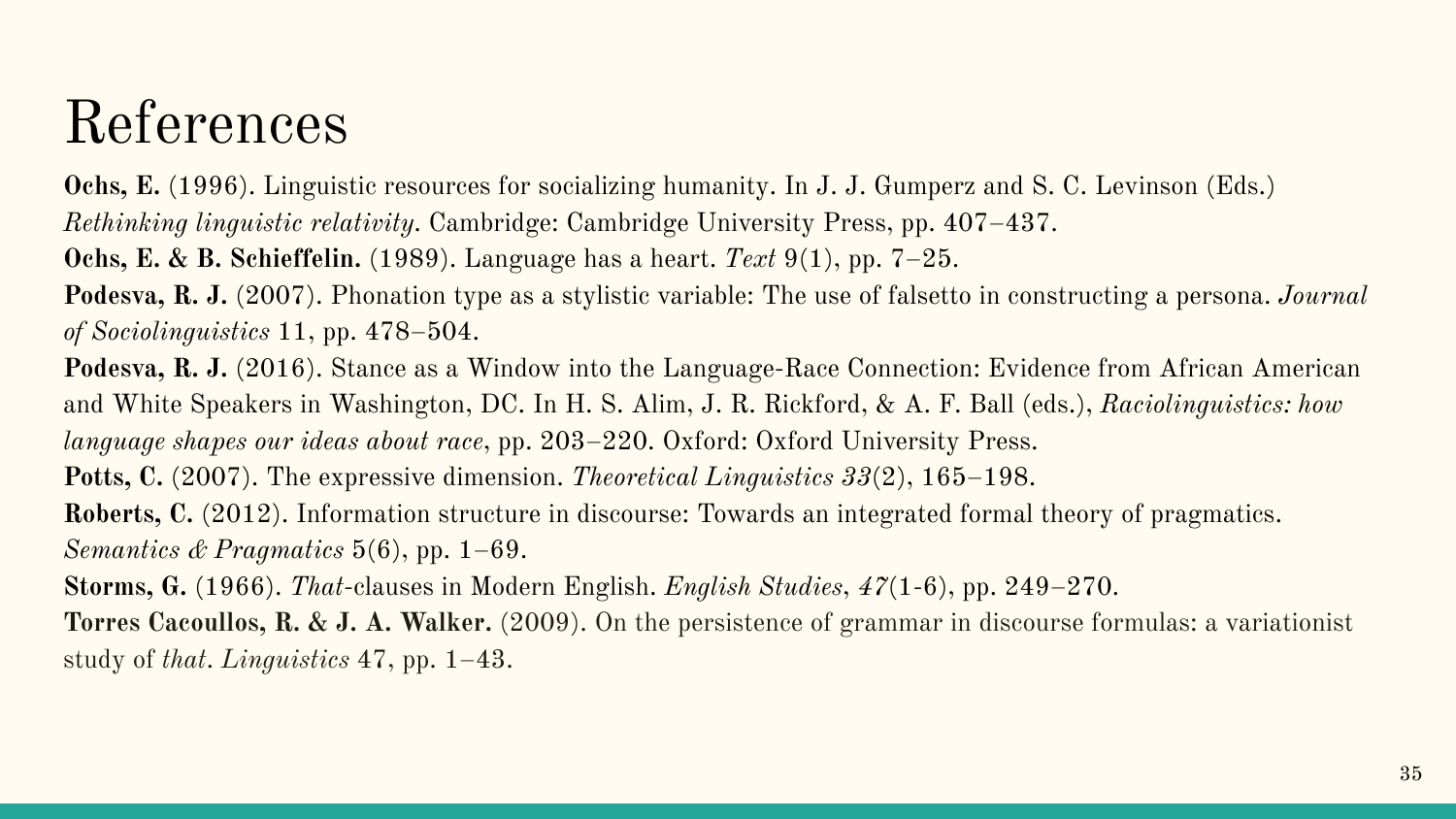#### References

**Ochs, E.** (1996). Linguistic resources for socializing humanity. In J. J. Gumperz and S. C. Levinson (Eds.)

*Rethinking linguistic relativity*. Cambridge: Cambridge University Press, pp. 407–437.

**Ochs, E. & B. Schieffelin.** (1989). Language has a heart. *Text* 9(1), pp. 7–25.

**Podesva, R. J.** (2007). Phonation type as a stylistic variable: The use of falsetto in constructing a persona. *Journal of Sociolinguistics* 11, pp. 478–504.

**Podesva, R. J.** (2016). Stance as a Window into the Language-Race Connection: Evidence from African American and White Speakers in Washington, DC. In H. S. Alim, J. R. Rickford, & A. F. Ball (eds.), *Raciolinguistics: how language shapes our ideas about race*, pp. 203–220. Oxford: Oxford University Press.

**Potts, C.** (2007). The expressive dimension. *Theoretical Linguistics 33*(2), 165–198.

**Roberts, C.** (2012). Information structure in discourse: Towards an integrated formal theory of pragmatics. *Semantics & Pragmatics* 5(6), pp. 1–69.

**Storms, G.** (1966). *That*-clauses in Modern English. *English Studies*, *47*(1-6), pp. 249–270.

**Torres Cacoullos, R. & J. A. Walker.** (2009). On the persistence of grammar in discourse formulas: a variationist study of *that*. *Linguistics* 47, pp. 1–43.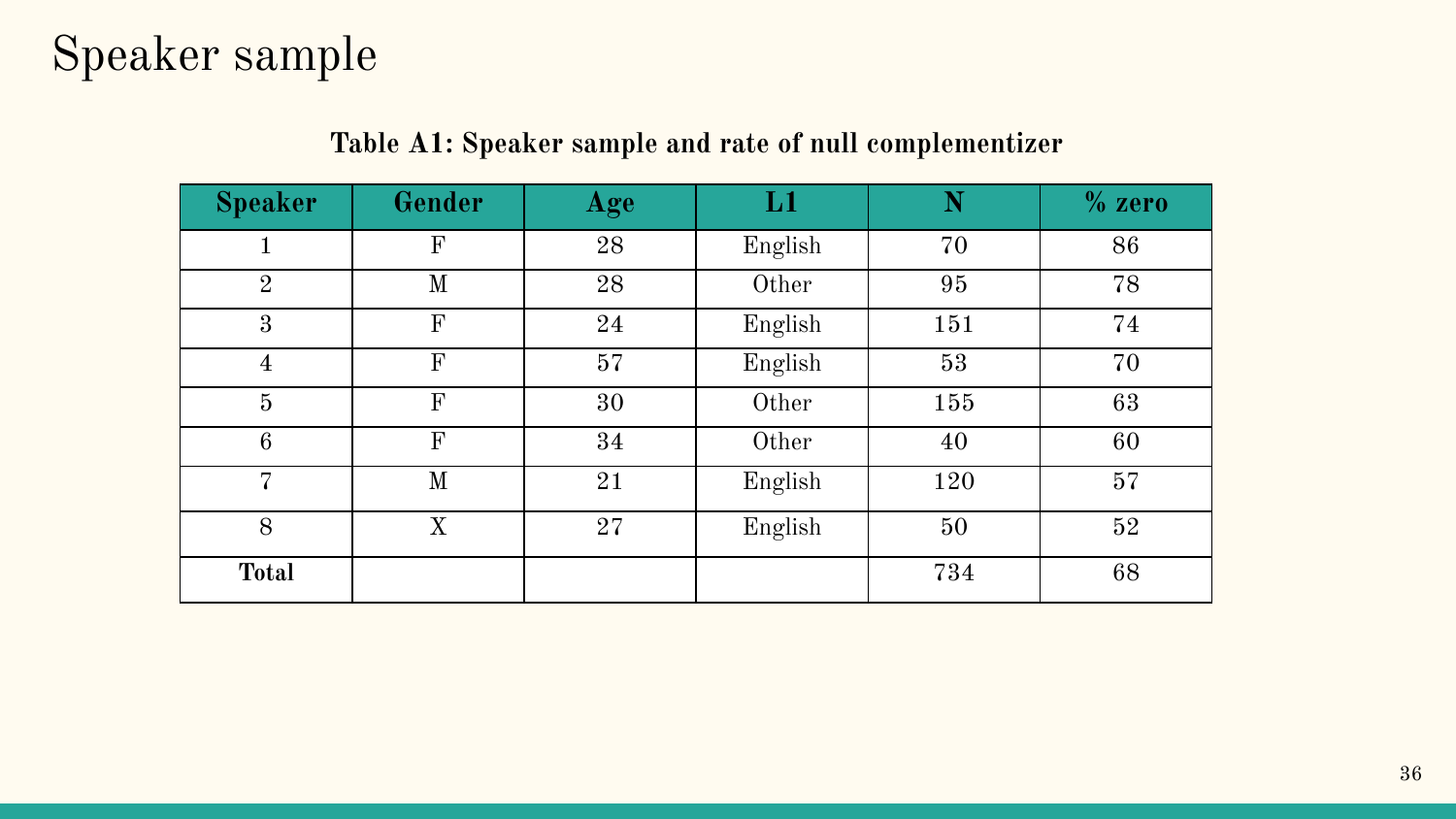#### Speaker sample

| <b>Speaker</b>   | Gender       | Age | $\mathbf{L} \mathbf{1}$ | N   | $%$ zero |
|------------------|--------------|-----|-------------------------|-----|----------|
| 1                | $\mathbf{F}$ | 28  | English                 | 70  | 86       |
| $\overline{2}$   | M            | 28  | Other                   | 95  | 78       |
| 3                | $\mathbf{F}$ | 24  | English                 | 151 | 74       |
| $\overline{4}$   | F            | 57  | English                 | 53  | 70       |
| $\bf 5$          | F            | 30  | Other                   | 155 | 63       |
| $\boldsymbol{6}$ | $\mathbf{F}$ | 34  | Other                   | 40  | 60       |
| 7                | M            | 21  | English                 | 120 | 57       |
| 8                | X            | 27  | English                 | 50  | 52       |
| <b>Total</b>     |              |     |                         | 734 | 68       |

#### **Table A1: Speaker sample and rate of null complementizer**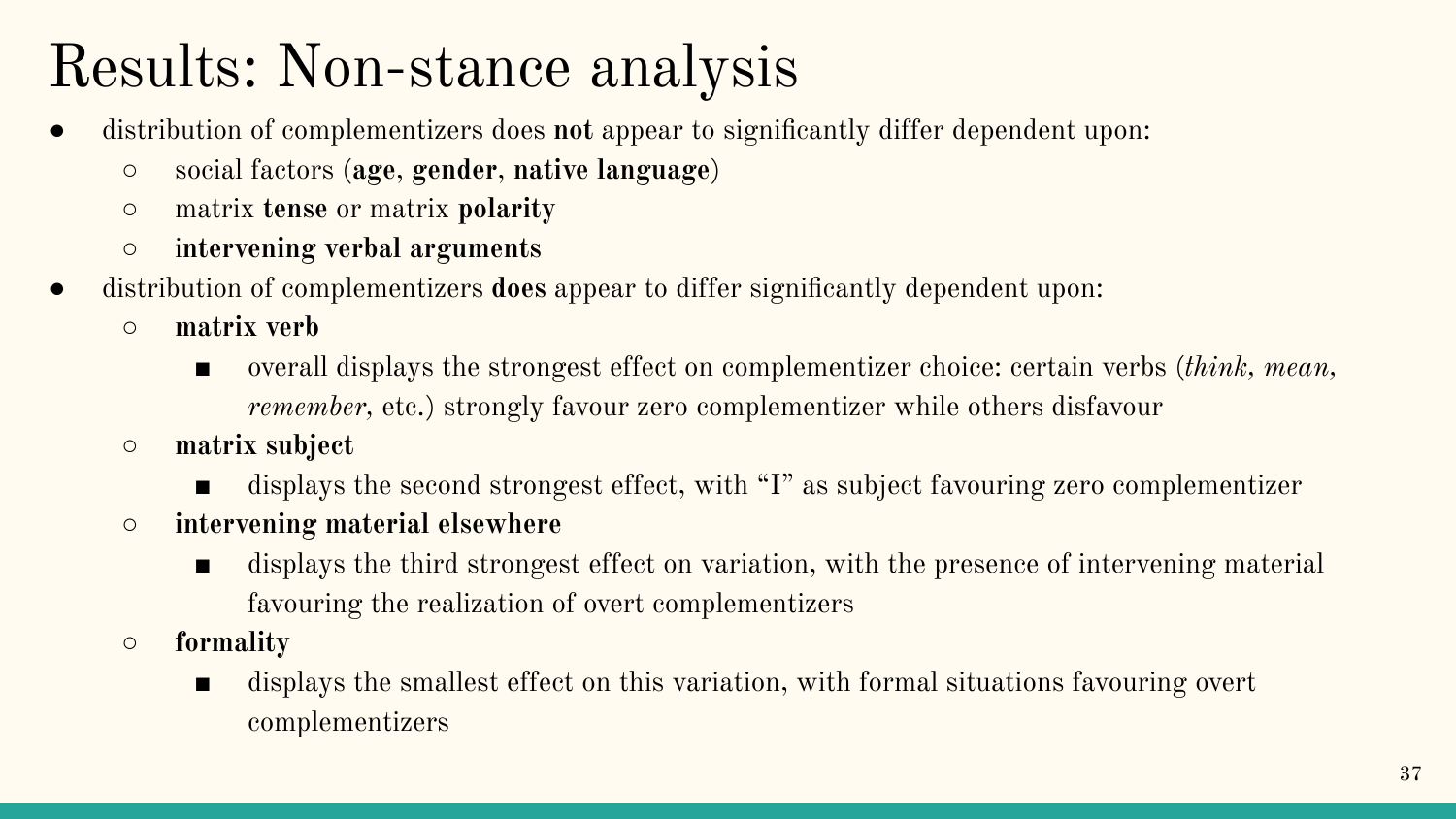### Results: Non-stance analysis

- distribution of complementizers does **not** appear to significantly differ dependent upon:
	- social factors (**age**, **gender**, **native language**)
	- matrix **tense** or matrix **polarity**
	- i**ntervening verbal arguments**
- distribution of complementizers **does** appear to differ significantly dependent upon:
	- **○ matrix verb**
		- overall displays the strongest effect on complementizer choice: certain verbs (*think, mean, remember,* etc.) strongly favour zero complementizer while others disfavour
	- **○ matrix subject**
		- displays the second strongest effect, with "I" as subject favouring zero complementizer
	- **○ intervening material elsewhere**
		- displays the third strongest effect on variation, with the presence of intervening material favouring the realization of overt complementizers
	- **○ formality**
		- displays the smallest effect on this variation, with formal situations favouring overt complementizers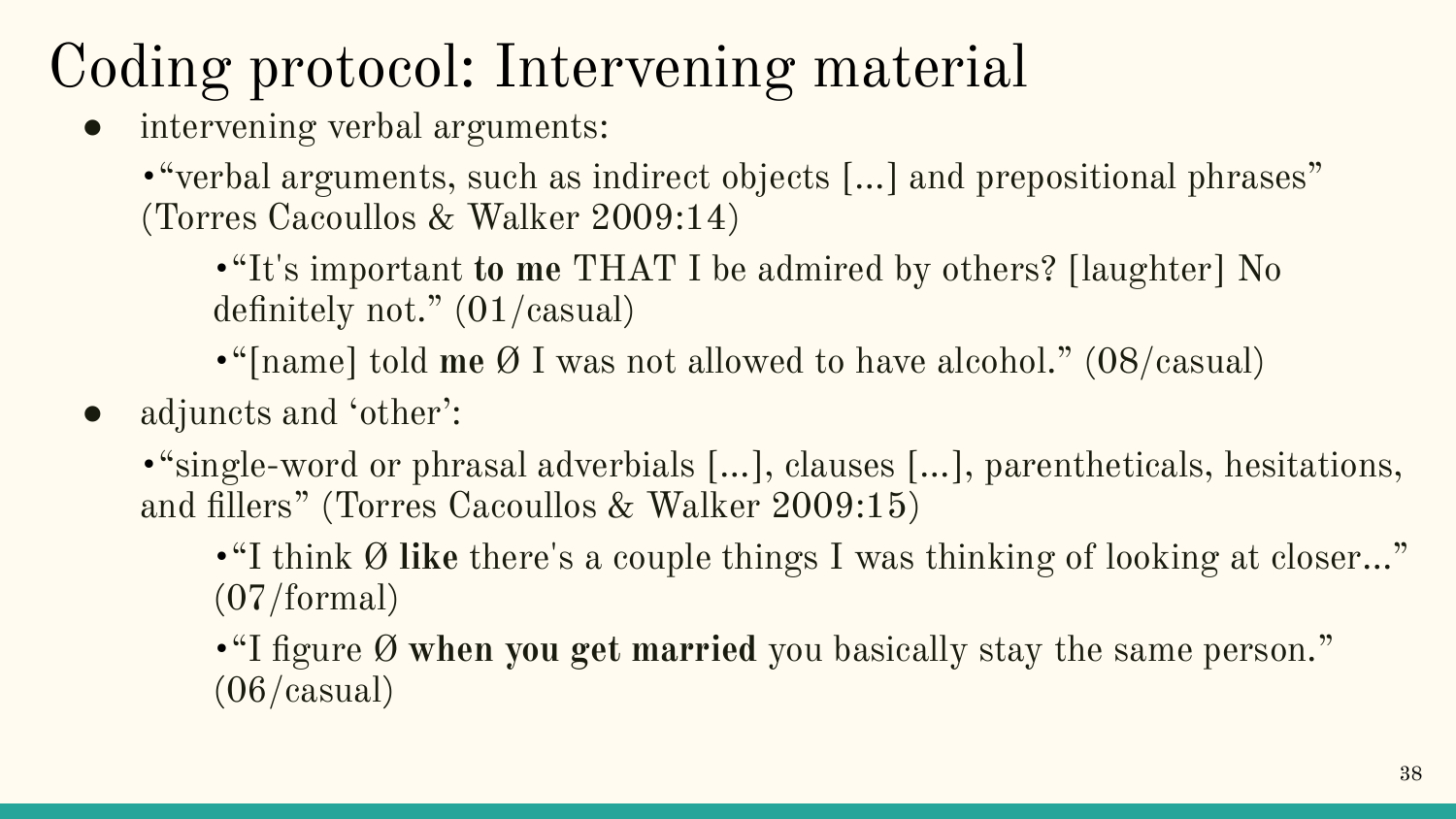## Coding protocol: Intervening material

• intervening verbal arguments:

• "verbal arguments, such as indirect objects [...] and prepositional phrases" (Torres Cacoullos & Walker 2009:14)

•"It's important **to me** THAT I be admired by others? [laughter] No definitely not." (01/casual)

•"[name] told **me** Ø I was not allowed to have alcohol." (08/casual)

• adjuncts and 'other':

•"single-word or phrasal adverbials […], clauses […], parentheticals, hesitations, and fillers" (Torres Cacoullos & Walker 2009:15)

•"I think Ø **like** there's a couple things I was thinking of looking at closer…" (07/formal)

•"I figure Ø **when you get married** you basically stay the same person."  $(06/casual)$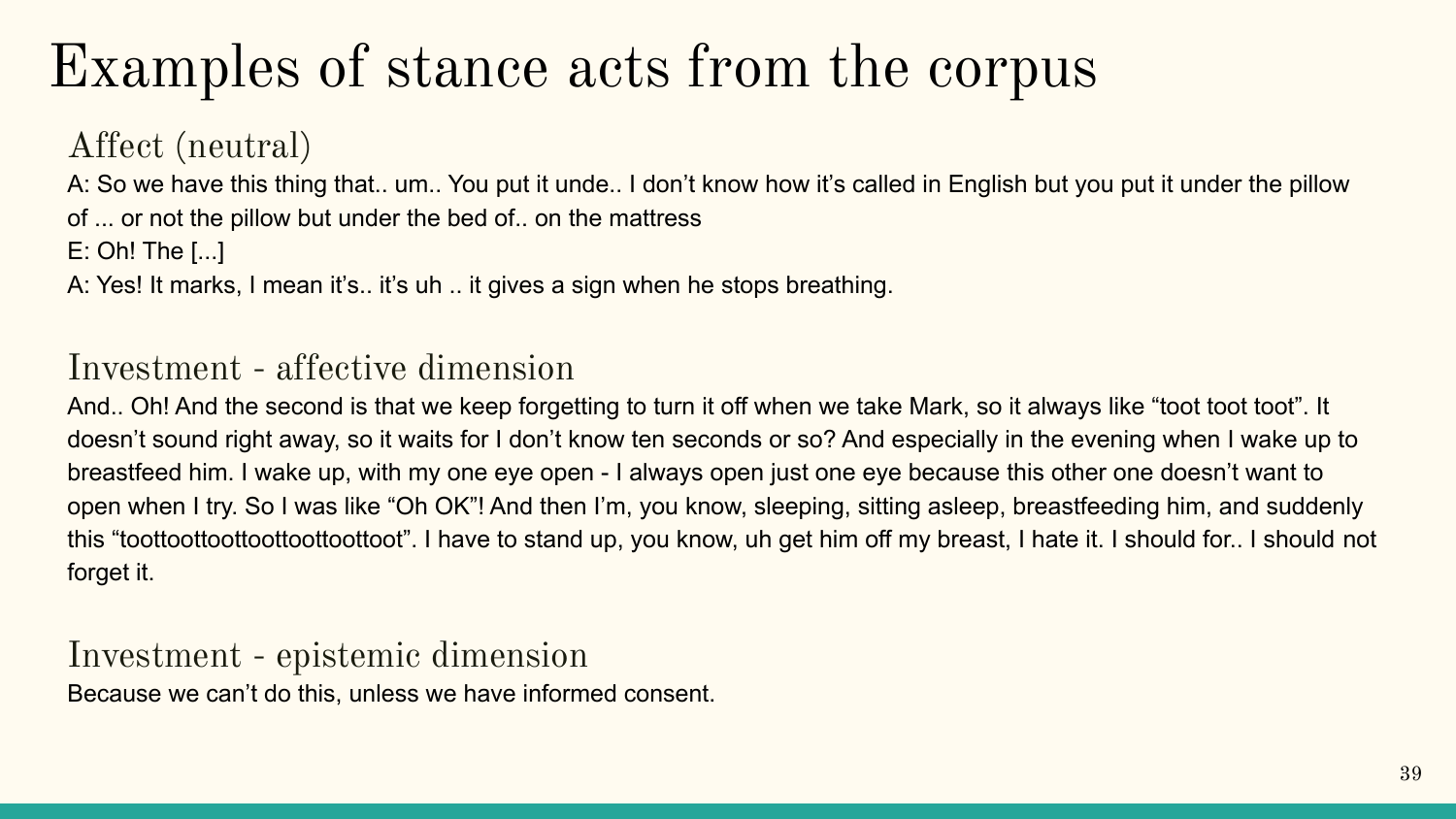#### Examples of stance acts from the corpus

Affect (neutral)

A: So we have this thing that.. um.. You put it unde.. I don't know how it's called in English but you put it under the pillow of ... or not the pillow but under the bed of.. on the mattress

E: Oh! The [...]

A: Yes! It marks, I mean it's.. it's uh .. it gives a sign when he stops breathing.

#### Investment - affective dimension

And.. Oh! And the second is that we keep forgetting to turn it off when we take Mark, so it always like "toot toot toot". It doesn't sound right away, so it waits for I don't know ten seconds or so? And especially in the evening when I wake up to breastfeed him. I wake up, with my one eye open - I always open just one eye because this other one doesn't want to open when I try. So I was like "Oh OK"! And then I'm, you know, sleeping, sitting asleep, breastfeeding him, and suddenly this "toottoottoottoottoottoottoot". I have to stand up, you know, uh get him off my breast, I hate it. I should for.. I should not forget it.

#### Investment - epistemic dimension Because we can't do this, unless we have informed consent.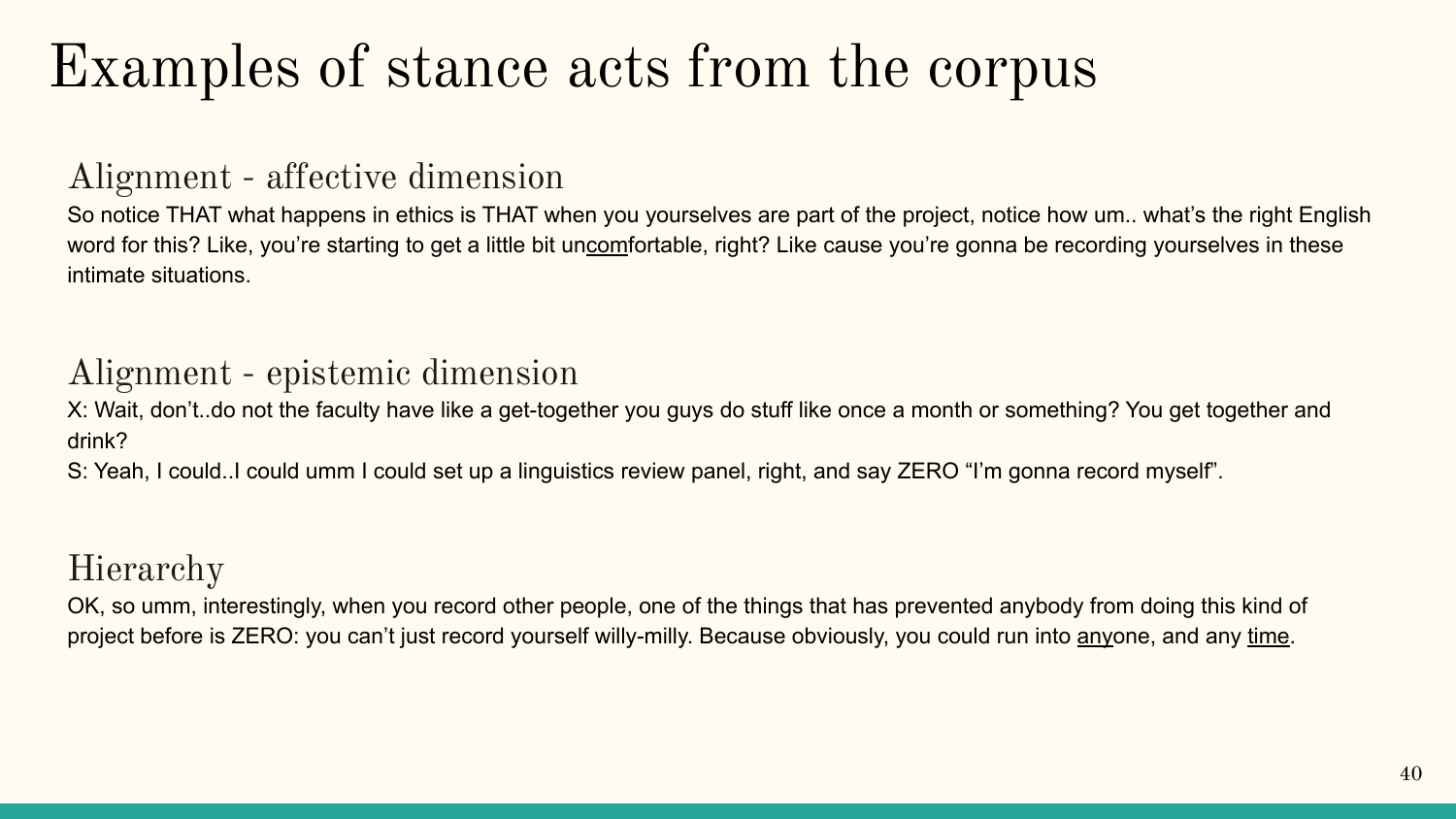#### Examples of stance acts from the corpus

#### Alignment - affective dimension

So notice THAT what happens in ethics is THAT when you yourselves are part of the project, notice how um.. what's the right English word for this? Like, you're starting to get a little bit uncomfortable, right? Like cause you're gonna be recording yourselves in these intimate situations.

#### Alignment - epistemic dimension

X: Wait, don't..do not the faculty have like a get-together you guys do stuff like once a month or something? You get together and drink?

S: Yeah, I could..I could umm I could set up a linguistics review panel, right, and say ZERO "I'm gonna record myself".

#### Hierarchy

OK, so umm, interestingly, when you record other people, one of the things that has prevented anybody from doing this kind of project before is ZERO: you can't just record yourself willy-milly. Because obviously, you could run into anyone, and any time.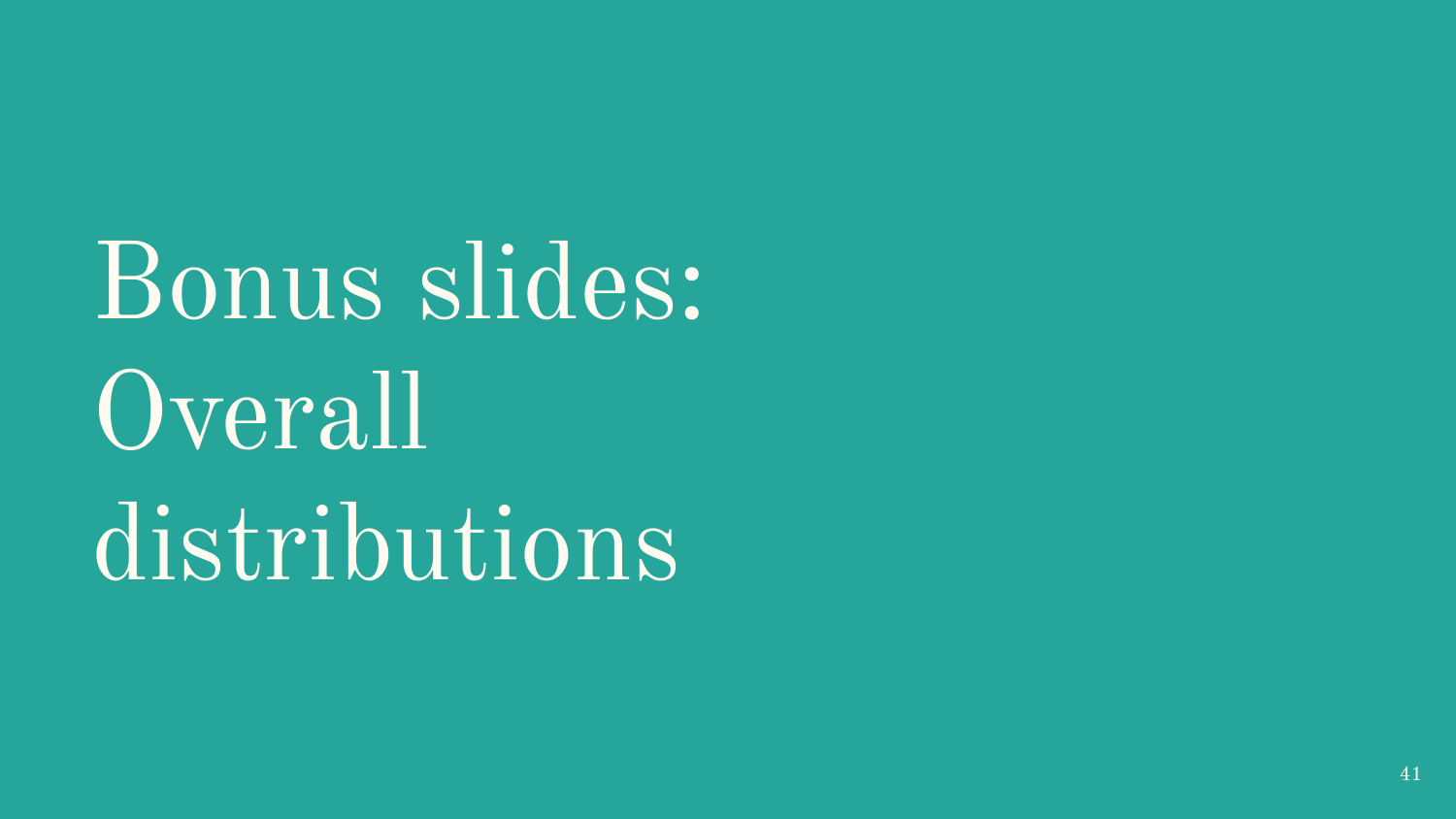Bonus slides: Overall distributions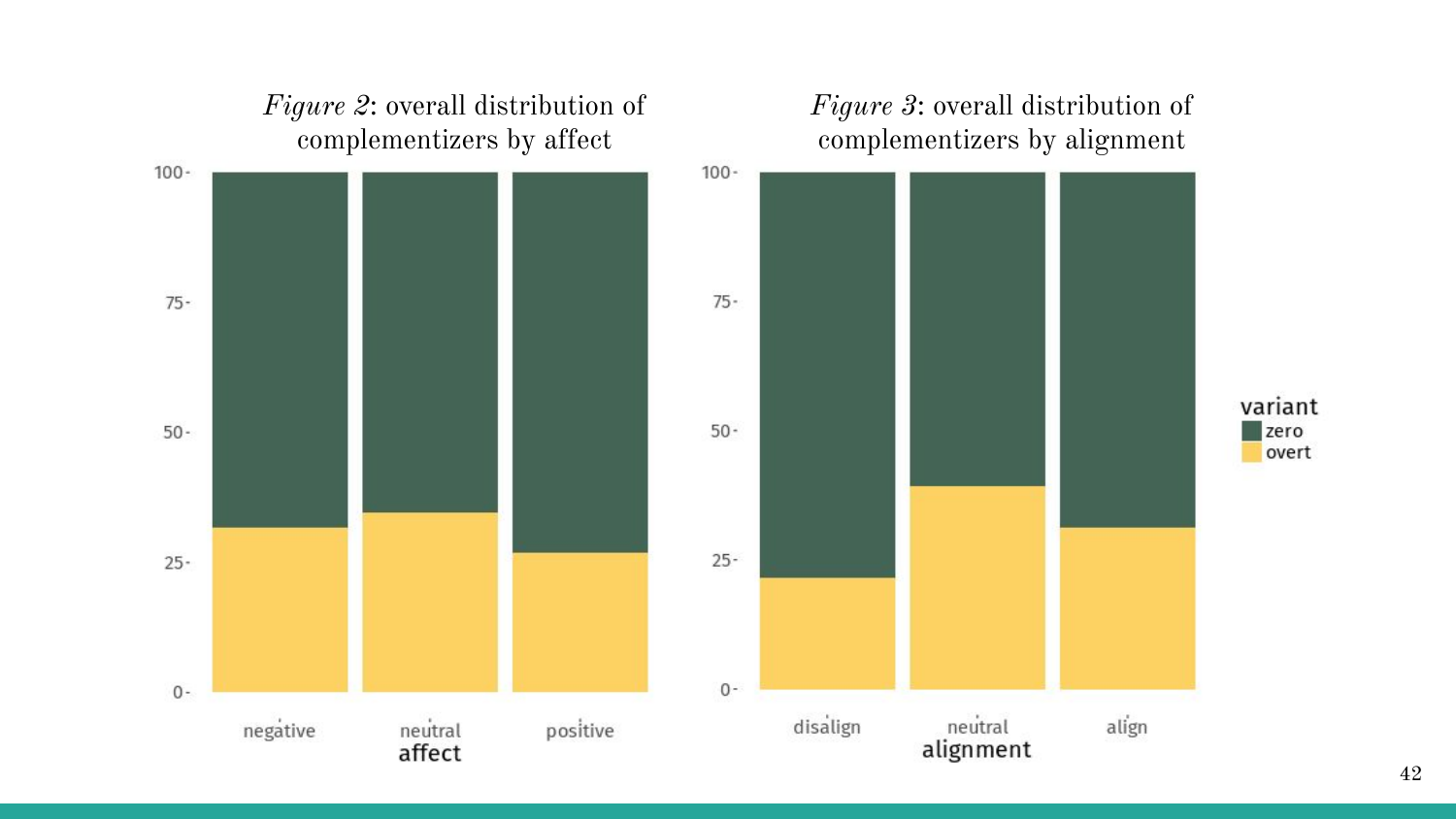